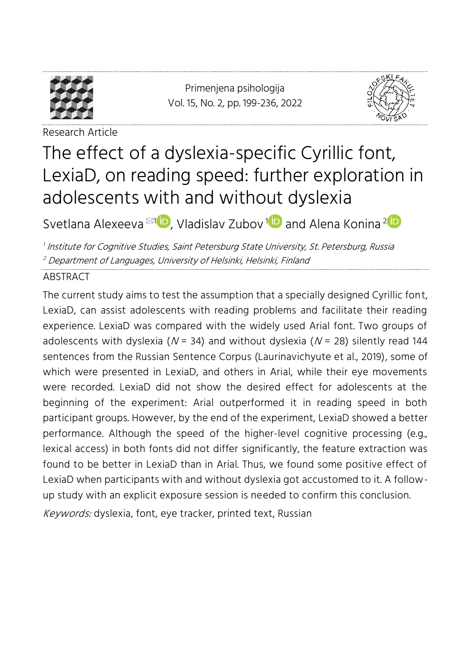

<span id="page-0-0"></span>Primenjena psihologija Vol. 15, No. 2, pp. [199-](#page-0-0)[236,](#page-37-0) 2022



Research Article

# The effect of a dyslexia-specific Cyrillic font, LexiaD, on reading speed: further exploration in adolescents with and without dyslexia

Svetlana Alexeeva ⊠1D[,](https://orcid.org/0000-0002-8540-6178) Vladislav Zubov [1](https://orcid.org/0000-0001-8714-7491)D and Alena Konina <sup>2</sup>

1 Institute for Cognitive Studies, Saint Petersburg State University, St. Petersburg, Russia <sup>2</sup> Department of Languages, University of Helsinki, Helsinki, Finland

#### ABSTRACT

The current study aims to test the assumption that a specially designed Cyrillic font, LexiaD, can assist adolescents with reading problems and facilitate their reading experience. LexiaD was compared with the widely used Arial font. Two groups of adolescents with dyslexia ( $N = 34$ ) and without dyslexia ( $N = 28$ ) silently read 144 sentences from the Russian Sentence Corpus (Laurinavichyute et al., 2019), some of which were presented in LexiaD, and others in Arial, while their eye movements were recorded. LexiaD did not show the desired effect for adolescents at the beginning of the experiment: Arial outperformed it in reading speed in both participant groups. However, by the end of the experiment, LexiaD showed a better performance. Although the speed of the higher-level cognitive processing (e.g., lexical access) in both fonts did not differ significantly, the feature extraction was found to be better in LexiaD than in Arial. Thus, we found some positive effect of LexiaD when participants with and without dyslexia got accustomed to it. A followup study with an explicit exposure session is needed to confirm this conclusion.

Keywords: dyslexia, font, eye tracker, printed text, Russian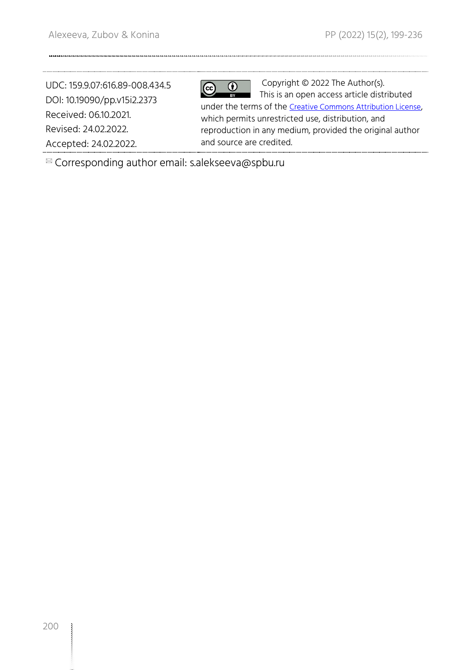UDC: 159.9.07:616.89-008.434.5 DOI: 10.19090/pp.v15i2.2373 Received: 06.10.2021. Revised: 24.02.2022. Accepted: 24.02.2022.

 $\overline{c}$  $\overline{(\cdot)}$ 

Copyright © 2022 The Author(s). This is an open access article distributed under the terms of the [Creative Commons Attribution License](https://creativecommons.org/licenses/by/4.0/), which permits unrestricted use, distribution, and reproduction in any medium, provided the original author and source are credited.

Corresponding author email: s.alekseeva@spbu.ru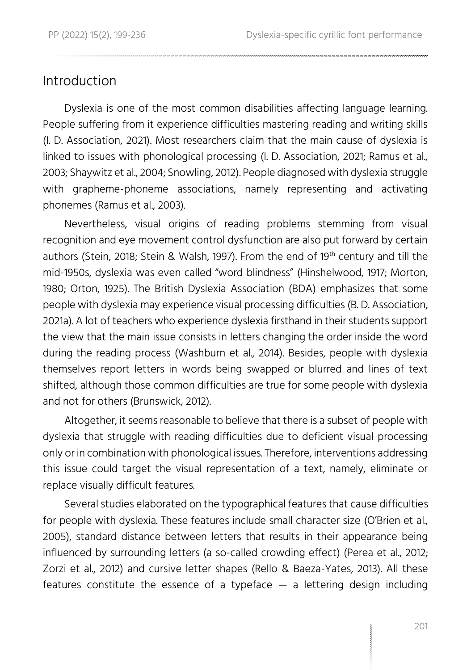#### **Introduction**

Dyslexia is one of the most common disabilities affecting language learning. People suffering from it experience difficulties mastering reading and writing skills (I. D. Association, 2021). Most researchers claim that the main cause of dyslexia is linked to issues with phonological processing (I. D. Association, 2021; Ramus et al., 2003; Shaywitz et al., 2004; Snowling, 2012). People diagnosed with dyslexia struggle with grapheme-phoneme associations, namely representing and activating phonemes (Ramus et al., 2003).

Nevertheless, visual origins of reading problems stemming from visual recognition and eye movement control dysfunction are also put forward by certain authors (Stein, 2018; Stein & Walsh, 1997). From the end of 19<sup>th</sup> century and till the mid-1950s, dyslexia was even called "word blindness" (Hinshelwood, 1917; Morton, 1980; Orton, 1925). The British Dyslexia Association (BDA) emphasizes that some people with dyslexia may experience visual processing difficulties (B. D. Association, 2021a). A lot of teachers who experience dyslexia firsthand in their students support the view that the main issue consists in letters changing the order inside the word during the reading process (Washburn et al., 2014). Besides, people with dyslexia themselves report letters in words being swapped or blurred and lines of text shifted, although those common difficulties are true for some people with dyslexia and not for others (Brunswick, 2012).

Altogether, it seems reasonable to believe that there is a subset of people with dyslexia that struggle with reading difficulties due to deficient visual processing only or in combination with phonological issues. Therefore, interventions addressing this issue could target the visual representation of a text, namely, eliminate or replace visually difficult features.

Several studies elaborated on the typographical features that cause difficulties for people with dyslexia. These features include small character size (O'Brien et al., 2005), standard distance between letters that results in their appearance being influenced by surrounding letters (a so-called crowding effect) (Perea et al., 2012; Zorzi et al., 2012) and cursive letter shapes (Rello & Baeza-Yates, 2013). All these features constitute the essence of a typeface — a lettering design including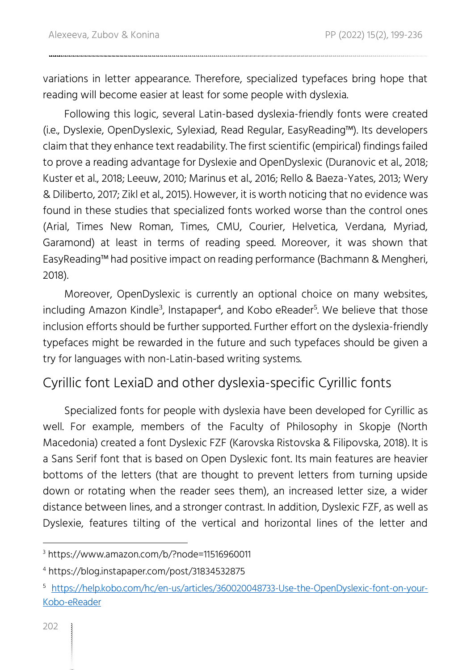variations in letter appearance. Therefore, specialized typefaces bring hope that reading will become easier at least for some people with dyslexia.

Following this logic, several Latin-based dyslexia-friendly fonts were created (i.e., Dyslexie, OpenDyslexic, Sylexiad, Read Regular, EasyReading™). Its developers claim that they enhance text readability. The first scientific (empirical) findings failed to prove a reading advantage for Dyslexie and OpenDyslexic (Duranovic et al., 2018; Kuster et al., 2018; Leeuw, 2010; Marinus et al., 2016; Rello & Baeza-Yates, 2013; Wery & Diliberto, 2017; Zikl et al., 2015). However, it is worth noticing that no evidence was found in these studies that specialized fonts worked worse than the control ones (Arial, Times New Roman, Times, CMU, Courier, Helvetica, Verdana, Myriad, Garamond) at least in terms of reading speed. Moreover, it was shown that EasyReading™ had positive impact on reading performance (Bachmann & Mengheri, 2018).

Moreover, OpenDyslexic is currently an optional choice on many websites, including Amazon Kindle $^3$ , Instapaper $^4$ , and Kobo eReader $^5$ . We believe that those inclusion efforts should be further supported. Further effort on the dyslexia-friendly typefaces might be rewarded in the future and such typefaces should be given a try for languages with non-Latin-based writing systems.

#### Cyrillic font LexiaD and other dyslexia-specific Cyrillic fonts

Specialized fonts for people with dyslexia have been developed for Cyrillic as well. For example, members of the Faculty of Philosophy in Skopje (North Macedonia) created a font Dyslexic FZF (Karovska Ristovska & Filipovska, 2018). It is a Sans Serif font that is based on Open Dyslexic font. Its main features are heavier bottoms of the letters (that are thought to prevent letters from turning upside down or rotating when the reader sees them), an increased letter size, a wider distance between lines, and a stronger contrast. In addition, Dyslexic FZF, as well as Dyslexie, features tilting of the vertical and horizontal lines of the letter and

<sup>3</sup> https://www.amazon.com/b/?node=11516960011

<sup>4</sup> https://blog.instapaper.com/post/31834532875

<sup>5</sup> [https://help.kobo.com/hc/en-us/articles/360020048733-Use-the-OpenDyslexic-font-on-your-](https://help.kobo.com/hc/en-us/articles/360020048733-Use-the-OpenDyslexic-font-on-your-​​Kobo-​eReader)[Kobo-eReader](https://help.kobo.com/hc/en-us/articles/360020048733-Use-the-OpenDyslexic-font-on-your-​​Kobo-​eReader)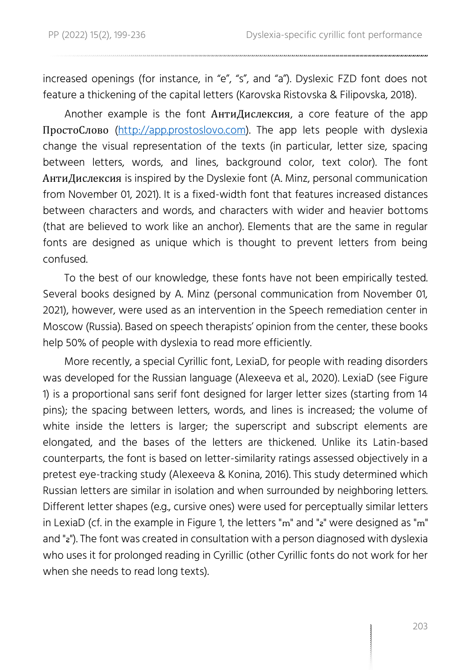increased openings (for instance, in "e", "s", and "a"). Dyslexic FZD font does not feature a thickening of the capital letters (Karovska Ristovska & Filipovska, 2018).

Another example is the font АнтиДислексия, a core feature of the app ПростоСлово [\(http://app.prostoslovo.com\)](http://app.prostoslovo.com/). The app lets people with dyslexia change the visual representation of the texts (in particular, letter size, spacing between letters, words, and lines, background color, text color). The font АнтиДислексия is inspired by the Dyslexie font (A. Minz, personal communication from November 01, 2021). It is a fixed-width font that features increased distances between characters and words, and characters with wider and heavier bottoms (that are believed to work like an anchor). Elements that are the same in regular fonts are designed as unique which is thought to prevent letters from being confused.

To the best of our knowledge, these fonts have not been empirically tested. Several books designed by A. Minz (personal communication from November 01, 2021), however, were used as an intervention in the Speech remediation center in Moscow (Russia). Based on speech therapists' opinion from the center, these books help 50% of people with dyslexia to read more efficiently.

More recently, a special Cyrillic font, LexiaD, for people with reading disorders was developed for the Russian language (Alexeeva et al., 2020). LexiaD (see Figure 1) is a proportional sans serif font designed for larger letter sizes (starting from 14 pins); the spacing between letters, words, and lines is increased; the volume of white inside the letters is larger; the superscript and subscript elements are elongated, and the bases of the letters are thickened. Unlike its Latin-based counterparts, the font is based on letter-similarity ratings assessed objectively in a pretest eye-tracking study (Alexeeva & Konina, 2016). This study determined which Russian letters are similar in isolation and when surrounded by neighboring letters. Different letter shapes (e.g., cursive ones) were used for perceptually similar letters in LexiaD (cf. in the example in Figure 1, the letters "m" and "a" were designed as "m" and "a"). The font was created in consultation with a person diagnosed with dyslexia who uses it for prolonged reading in Cyrillic (other Cyrillic fonts do not work for her when she needs to read long texts).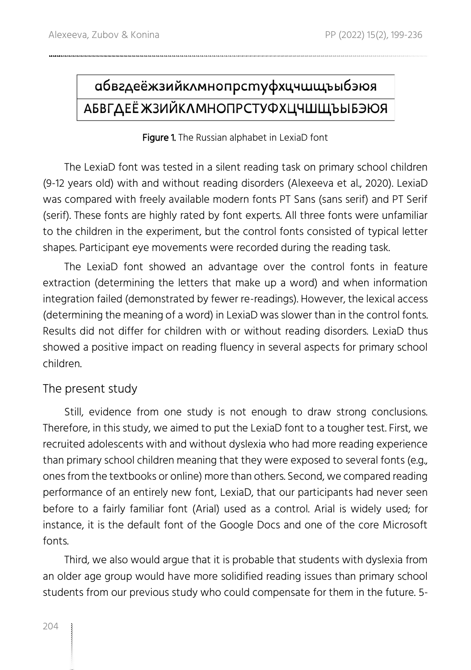# абвгдеёжзийклмнопрстуфхцчшщъыбэюя **АБВГДЕЁ ЖЗИЙКЛМНОПРСТУФХЦЧШЩЪЫБЭЮЯ**

#### Figure 1. The Russian alphabet in LexiaD font

The LexiaD font was tested in a silent reading task on primary school children (9-12 years old) with and without reading disorders (Alexeeva et al., 2020). LexiaD was compared with freely available modern fonts PT Sans (sans serif) and PT Serif (serif). These fonts are highly rated by font experts. All three fonts were unfamiliar to the children in the experiment, but the control fonts consisted of typical letter shapes. Participant eye movements were recorded during the reading task.

The LexiaD font showed an advantage over the control fonts in feature extraction (determining the letters that make up a word) and when information integration failed (demonstrated by fewer re-readings). However, the lexical access (determining the meaning of a word) in LexiaD was slower than in the control fonts. Results did not differ for children with or without reading disorders. LexiaD thus showed a positive impact on reading fluency in several aspects for primary school children.

#### The present study

Still, evidence from one study is not enough to draw strong conclusions. Therefore, in this study, we aimed to put the LexiaD font to a tougher test. First, we recruited adolescents with and without dyslexia who had more reading experience than primary school children meaning that they were exposed to several fonts (e.g., ones from the textbooks or online) more than others. Second, we compared reading performance of an entirely new font, LexiaD, that our participants had never seen before to a fairly familiar font (Arial) used as a control. Arial is widely used; for instance, it is the default font of the Google Docs and one of the core Microsoft fonts.

Third, we also would argue that it is probable that students with dyslexia from an older age group would have more solidified reading issues than primary school students from our previous study who could compensate for them in the future. 5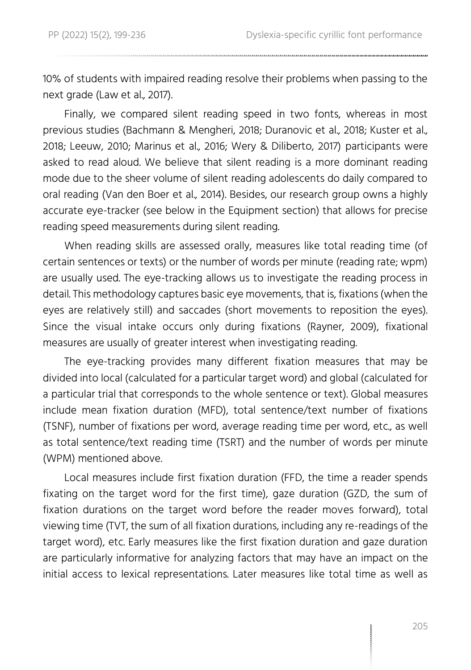10% of students with impaired reading resolve their problems when passing to the next grade (Law et al., 2017).

Finally, we compared silent reading speed in two fonts, whereas in most previous studies (Bachmann & Mengheri, 2018; Duranovic et al., 2018; Kuster et al., 2018; Leeuw, 2010; Marinus et al., 2016; Wery & Diliberto, 2017) participants were asked to read aloud. We believe that silent reading is a more dominant reading mode due to the sheer volume of silent reading adolescents do daily compared to oral reading (Van den Boer et al., 2014). Besides, our research group owns a highly accurate eye-tracker (see below in the Equipment section) that allows for precise reading speed measurements during silent reading.

When reading skills are assessed orally, measures like total reading time (of certain sentences or texts) or the number of words per minute (reading rate; wpm) are usually used. The eye-tracking allows us to investigate the reading process in detail. This methodology captures basic eye movements, that is, fixations (when the eyes are relatively still) and saccades (short movements to reposition the eyes). Since the visual intake occurs only during fixations (Rayner, 2009), fixational measures are usually of greater interest when investigating reading.

The eye-tracking provides many different fixation measures that may be divided into local (calculated for a particular target word) and global (calculated for a particular trial that corresponds to the whole sentence or text). Global measures include mean fixation duration (MFD), total sentence/text number of fixations (TSNF), number of fixations per word, average reading time per word, etc., as well as total sentence/text reading time (TSRT) and the number of words per minute (WPM) mentioned above.

Local measures include first fixation duration (FFD, the time a reader spends fixating on the target word for the first time), gaze duration (GZD, the sum of fixation durations on the target word before the reader moves forward), total viewing time (TVT, the sum of all fixation durations, including any re-readings of the target word), etc. Early measures like the first fixation duration and gaze duration are particularly informative for analyzing factors that may have an impact on the initial access to lexical representations. Later measures like total time as well as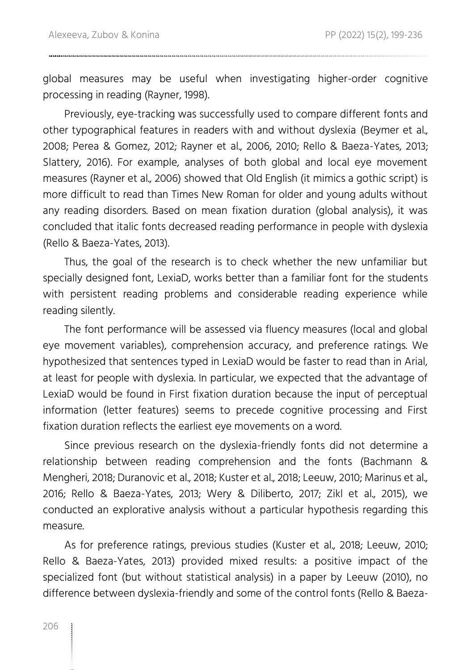global measures may be useful when investigating higher-order cognitive processing in reading (Rayner, 1998).

Previously, eye-tracking was successfully used to compare different fonts and other typographical features in readers with and without dyslexia (Beymer et al., 2008; Perea & Gomez, 2012; Rayner et al., 2006, 2010; Rello & Baeza-Yates, 2013; Slattery, 2016). For example, analyses of both global and local eye movement measures (Rayner et al., 2006) showed that Old English (it mimics a gothic script) is more difficult to read than Times New Roman for older and young adults without any reading disorders. Based on mean fixation duration (global analysis), it was concluded that italic fonts decreased reading performance in people with dyslexia (Rello & Baeza-Yates, 2013).

Thus, the goal of the research is to check whether the new unfamiliar but specially designed font, LexiaD, works better than a familiar font for the students with persistent reading problems and considerable reading experience while reading silently.

The font performance will be assessed via fluency measures (local and global eye movement variables), comprehension accuracy, and preference ratings. We hypothesized that sentences typed in LexiaD would be faster to read than in Arial, at least for people with dyslexia. In particular, we expected that the advantage of LexiaD would be found in First fixation duration because the input of perceptual information (letter features) seems to precede cognitive processing and First fixation duration reflects the earliest eye movements on a word.

Since previous research on the dyslexia-friendly fonts did not determine a relationship between reading comprehension and the fonts (Bachmann & Mengheri, 2018; Duranovic et al., 2018; Kuster et al., 2018; Leeuw, 2010; Marinus et al., 2016; Rello & Baeza-Yates, 2013; Wery & Diliberto, 2017; Zikl et al., 2015), we conducted an explorative analysis without a particular hypothesis regarding this measure.

As for preference ratings, previous studies (Kuster et al., 2018; Leeuw, 2010; Rello & Baeza-Yates, 2013) provided mixed results: a positive impact of the specialized font (but without statistical analysis) in a paper by Leeuw (2010), no difference between dyslexia-friendly and some of the control fonts (Rello & Baeza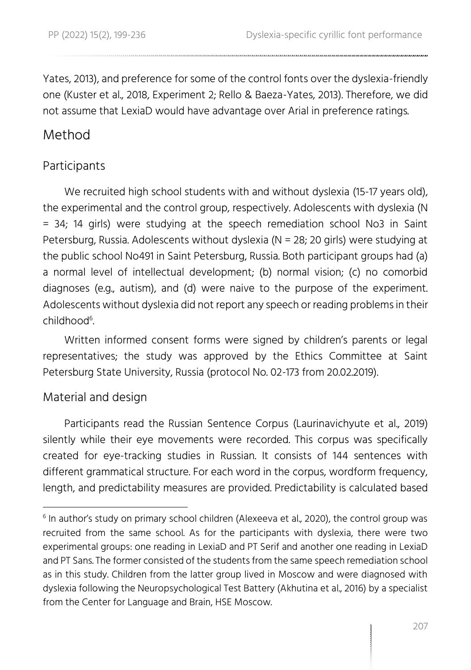Yates, 2013), and preference for some of the control fonts over the dyslexia-friendly one (Kuster et al., 2018, Experiment 2; Rello & Baeza-Yates, 2013). Therefore, we did not assume that LexiaD would have advantage over Arial in preference ratings.

#### Method

#### Participants

We recruited high school students with and without dyslexia (15-17 years old), the experimental and the control group, respectively. Adolescents with dyslexia (N = 34; 14 girls) were studying at the speech remediation school No3 in Saint Petersburg, Russia. Adolescents without dyslexia (N = 28; 20 girls) were studying at the public school No491 in Saint Petersburg, Russia. Both participant groups had (a) a normal level of intellectual development; (b) normal vision; (c) no comorbid diagnoses (e.g., autism), and (d) were naive to the purpose of the experiment. Adolescents without dyslexia did not report any speech or reading problems in their childhood<sup>6</sup>. .

Written informed consent forms were signed by children's parents or legal representatives; the study was approved by the Ethics Committee at Saint Petersburg State University, Russia (protocol No. 02-173 from 20.02.2019).

#### Material and design

Participants read the Russian Sentence Corpus (Laurinavichyute et al., 2019) silently while their eye movements were recorded. This corpus was specifically created for eye-tracking studies in Russian. It consists of 144 sentences with different grammatical structure. For each word in the corpus, wordform frequency, length, and predictability measures are provided. Predictability is calculated based

 $^{\rm 6}$  In author's study on primary school children (Alexeeva et al., 2020), the control group was recruited from the same school. As for the participants with dyslexia, there were two experimental groups: one reading in LexiaD and PT Serif and another one reading in LexiaD and PT Sans. The former consisted of the students from the same speech remediation school as in this study. Children from the latter group lived in Moscow and were diagnosed with dyslexia following the Neuropsychological Test Battery (Akhutina et al., 2016) by a specialist from the Center for Language and Brain, HSE Moscow.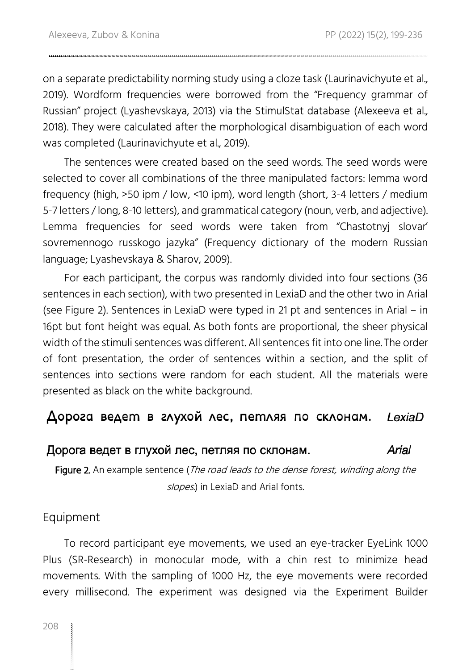on a separate predictability norming study using a cloze task (Laurinavichyute et al., 2019). Wordform frequencies were borrowed from the "Frequency grammar of Russian" project (Lyashevskaya, 2013) via the StimulStat database (Alexeeva et al., 2018). They were calculated after the morphological disambiguation of each word was completed (Laurinavichyute et al., 2019).

The sentences were created based on the seed words. The seed words were selected to cover all combinations of the three manipulated factors: lemma word frequency (high, >50 ipm / low, <10 ipm), word length (short, 3-4 letters / medium 5-7 letters / long, 8-10 letters), and grammatical category (noun, verb, and adjective). Lemma frequencies for seed words were taken from "Chastotnyj slovar' sovremennogo russkogo jazyka" (Frequency dictionary of the modern Russian language; Lyashevskaya & Sharov, 2009).

For each participant, the corpus was randomly divided into four sections (36 sentences in each section), with two presented in LexiaD and the other two in Arial (see Figure 2). Sentences in LexiaD were typed in 21 pt and sentences in Arial – in 16pt but font height was equal. As both fonts are proportional, the sheer physical width of the stimuli sentences was different. All sentences fit into one line. The order of font presentation, the order of sentences within a section, and the split of sentences into sections were random for each student. All the materials were presented as black on the white background.

#### Дорога ведет в глухой лес, петляя по склонам. LexiaD

#### Дорога ведет в глухой лес, петляя по склонам. Arial

Figure 2. An example sentence (The road leads to the dense forest, winding along the slopes.) in LexiaD and Arial fonts.

#### Equipment

To record participant eye movements, we used an eye-tracker EyeLink 1000 Plus (SR-Research) in monocular mode, with a chin rest to minimize head movements. With the sampling of 1000 Hz, the eye movements were recorded every millisecond. The experiment was designed via the Experiment Builder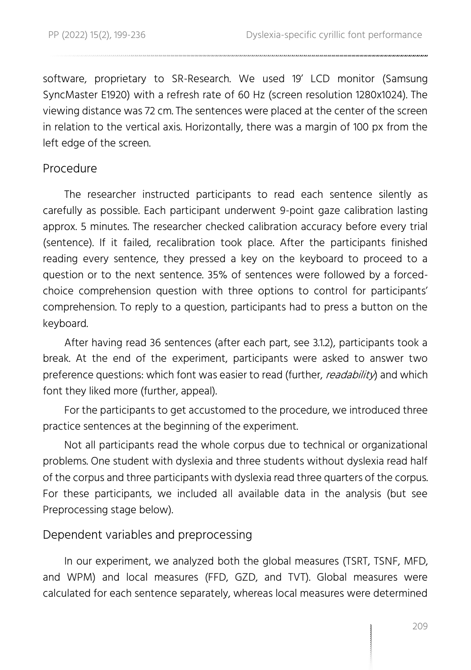software, proprietary to SR-Research. We used 19' LCD monitor (Samsung SyncMaster E1920) with a refresh rate of 60 Hz (screen resolution 1280x1024). The viewing distance was 72 cm. The sentences were placed at the center of the screen in relation to the vertical axis. Horizontally, there was a margin of 100 px from the left edge of the screen.

#### Procedure

The researcher instructed participants to read each sentence silently as carefully as possible. Each participant underwent 9-point gaze calibration lasting approx. 5 minutes. The researcher checked calibration accuracy before every trial (sentence). If it failed, recalibration took place. After the participants finished reading every sentence, they pressed a key on the keyboard to proceed to a question or to the next sentence. 35% of sentences were followed by a forcedchoice comprehension question with three options to control for participants' comprehension. To reply to a question, participants had to press a button on the keyboard.

After having read 36 sentences (after each part, see 3.1.2), participants took a break. At the end of the experiment, participants were asked to answer two preference questions: which font was easier to read (further, *readability*) and which font they liked more (further, appeal).

For the participants to get accustomed to the procedure, we introduced three practice sentences at the beginning of the experiment.

Not all participants read the whole corpus due to technical or organizational problems. One student with dyslexia and three students without dyslexia read half of the corpus and three participants with dyslexia read three quarters of the corpus. For these participants, we included all available data in the analysis (but see Preprocessing stage below).

#### Dependent variables and preprocessing

In our experiment, we analyzed both the global measures (TSRT, TSNF, MFD, and WPM) and local measures (FFD, GZD, and TVT). Global measures were calculated for each sentence separately, whereas local measures were determined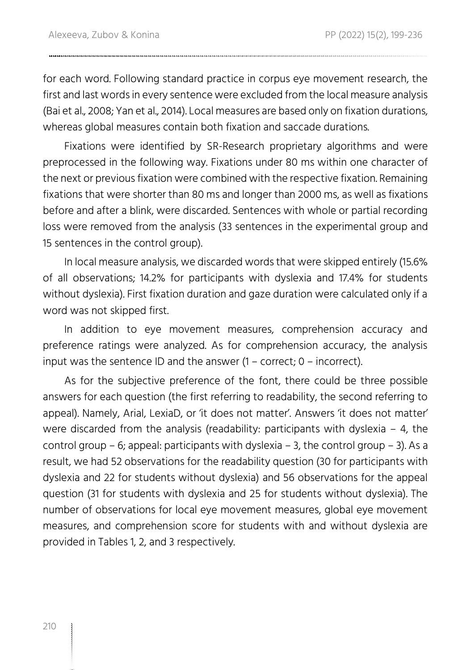for each word. Following standard practice in corpus eye movement research, the first and last words in every sentence were excluded from the local measure analysis (Bai et al., 2008; Yan et al., 2014). Local measures are based only on fixation durations, whereas global measures contain both fixation and saccade durations.

Fixations were identified by SR-Research proprietary algorithms and were preprocessed in the following way. Fixations under 80 ms within one character of the next or previous fixation were combined with the respective fixation. Remaining fixations that were shorter than 80 ms and longer than 2000 ms, as well as fixations before and after a blink, were discarded. Sentences with whole or partial recording loss were removed from the analysis (33 sentences in the experimental group and 15 sentences in the control group).

In local measure analysis, we discarded words that were skipped entirely (15.6% of all observations; 14.2% for participants with dyslexia and 17.4% for students without dyslexia). First fixation duration and gaze duration were calculated only if a word was not skipped first.

In addition to eye movement measures, comprehension accuracy and preference ratings were analyzed. As for comprehension accuracy, the analysis input was the sentence ID and the answer (1 – correct; 0 – incorrect).

As for the subjective preference of the font, there could be three possible answers for each question (the first referring to readability, the second referring to appeal). Namely, Arial, LexiaD, or 'it does not matter'. Answers 'it does not matter' were discarded from the analysis (readability: participants with dyslexia  $-4$ , the control group – 6; appeal: participants with dyslexia – 3, the control group – 3). As a result, we had 52 observations for the readability question (30 for participants with dyslexia and 22 for students without dyslexia) and 56 observations for the appeal question (31 for students with dyslexia and 25 for students without dyslexia). The number of observations for local eye movement measures, global eye movement measures, and comprehension score for students with and without dyslexia are provided in Tables 1, 2, and 3 respectively.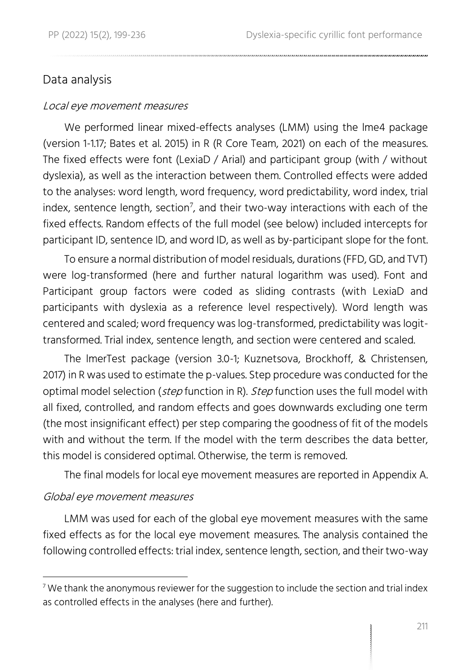#### Data analysis

#### Local eye movement measures

We performed linear mixed-effects analyses (LMM) using the lme4 package (version 1-1.17; Bates et al. 2015) in R (R Core Team, 2021) on each of the measures. The fixed effects were font (LexiaD / Arial) and participant group (with / without dyslexia), as well as the interaction between them. Controlled effects were added to the analyses: word length, word frequency, word predictability, word index, trial index, sentence length, section<sup>7</sup>, and their two-way interactions with each of the fixed effects. Random effects of the full model (see below) included intercepts for participant ID, sentence ID, and word ID, as well as by-participant slope for the font.

To ensure a normal distribution of model residuals, durations (FFD, GD, and TVT) were log-transformed (here and further natural logarithm was used). Font and Participant group factors were coded as sliding contrasts (with LexiaD and participants with dyslexia as a reference level respectively). Word length was centered and scaled; word frequency was log-transformed, predictability was logittransformed. Trial index, sentence length, and section were centered and scaled.

The lmerTest package (version 3.0-1; Kuznetsova, Brockhoff, & Christensen, 2017) in R was used to estimate the p-values. Step procedure was conducted for the optimal model selection (step function in R). Step function uses the full model with all fixed, controlled, and random effects and goes downwards excluding one term (the most insignificant effect) per step comparing the goodness of fit of the models with and without the term. If the model with the term describes the data better, this model is considered optimal. Otherwise, the term is removed.

The final models for local eye movement measures are reported in Appendix A.

#### Global eye movement measures

LMM was used for each of the global eye movement measures with the same fixed effects as for the local eye movement measures. The analysis contained the following controlled effects: trial index, sentence length, section, and their two-way

 $7$  We thank the anonymous reviewer for the suggestion to include the section and trial index as controlled effects in the analyses (here and further).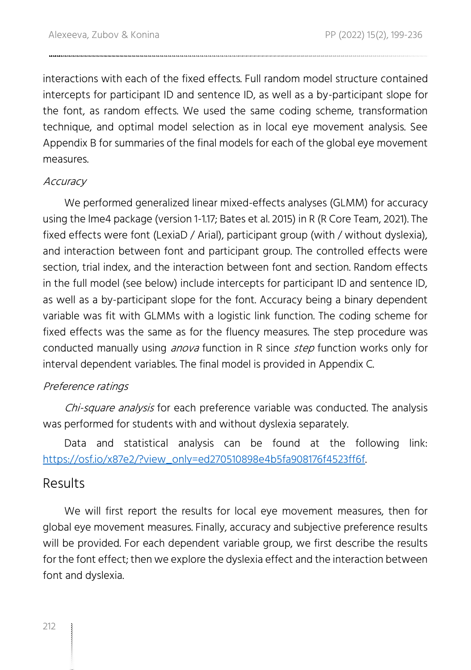interactions with each of the fixed effects. Full random model structure contained intercepts for participant ID and sentence ID, as well as a by-participant slope for the font, as random effects. We used the same coding scheme, transformation technique, and optimal model selection as in local eye movement analysis. See Appendix B for summaries of the final models for each of the global eye movement measures.

#### **Accuracy**

We performed generalized linear mixed-effects analyses (GLMM) for accuracy using the lme4 package (version 1-1.17; Bates et al. 2015) in R (R Core Team, 2021). The fixed effects were font (LexiaD / Arial), participant group (with / without dyslexia), and interaction between font and participant group. The controlled effects were section, trial index, and the interaction between font and section. Random effects in the full model (see below) include intercepts for participant ID and sentence ID, as well as a by-participant slope for the font. Accuracy being a binary dependent variable was fit with GLMMs with a logistic link function. The coding scheme for fixed effects was the same as for the fluency measures. The step procedure was conducted manually using *anova* function in R since *step* function works only for interval dependent variables. The final model is provided in Appendix C.

#### Preference ratings

Chi-square analysis for each preference variable was conducted. The analysis was performed for students with and without dyslexia separately.

Data and statistical analysis can be found at the following link: [https://osf.io/x87e2/?view\\_only=ed270510898e4b5fa908176f4523ff6f.](https://osf.io/x87e2/?view_only=ed270510898e4b5fa908176f4523ff6f)

#### Results

We will first report the results for local eye movement measures, then for global eye movement measures. Finally, accuracy and subjective preference results will be provided. For each dependent variable group, we first describe the results for the font effect; then we explore the dyslexia effect and the interaction between font and dyslexia.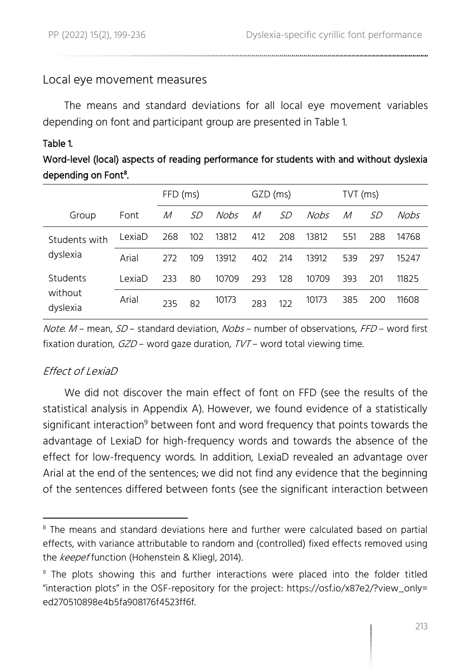#### Local eye movement measures

The means and standard deviations for all local eye movement variables depending on font and participant group are presented in Table 1.

#### Table 1.

#### Word-level (local) aspects of reading performance for students with and without dyslexia depending on Font**<sup>8</sup>** .

|                                 |        | FFD (ms) |           |       | GZD (ms) |     |             | TVT (ms) |     |       |  |
|---------------------------------|--------|----------|-----------|-------|----------|-----|-------------|----------|-----|-------|--|
| Group                           | Font   | М        | <i>SD</i> | Nobs  | M        | .SD | <b>Nobs</b> | М        | SD  | Nobs  |  |
| Students with<br>dyslexia       | LexiaD | 268      | 102       | 13812 | 412      | 208 | 13812       | 551      | 288 | 14768 |  |
|                                 | Arial  | 272      | 109       | 13912 | 402      | 214 | 13912       | 539      | 297 | 15247 |  |
| Students<br>without<br>dyslexia | LexiaD | 233      | 80        | 10709 | 293      | 128 | 10709       | 393      | 201 | 11825 |  |
|                                 | Arial  | 235      | 82        | 10173 | 283      | 122 | 10173       | 385      | 200 | 11608 |  |

Note.  $M$  – mean,  $SD$  – standard deviation, Nobs – number of observations, FFD – word first fixation duration,  $GZD$  – word gaze duration,  $TVT$  – word total viewing time.

#### $F$ ffect of LexiaD

We did not discover the main effect of font on FFD (see the results of the statistical analysis in Appendix A). However, we found evidence of a statistically significant interaction<sup>9</sup> between font and word frequency that points towards the advantage of LexiaD for high-frequency words and towards the absence of the effect for low-frequency words. In addition, LexiaD revealed an advantage over Arial at the end of the sentences; we did not find any evidence that the beginning of the sentences differed between fonts (see the significant interaction between

<sup>&</sup>lt;sup>8</sup> The means and standard deviations here and further were calculated based on partial effects, with variance attributable to random and (controlled) fixed effects removed using the keepef function (Hohenstein & Kliegl, 2014).

<sup>9</sup> The plots showing this and further interactions were placed into the folder titled "interaction plots" in the OSF-repository for the project: https://osf.io/x87e2/?view\_only= ed270510898e4b5fa908176f4523ff6f.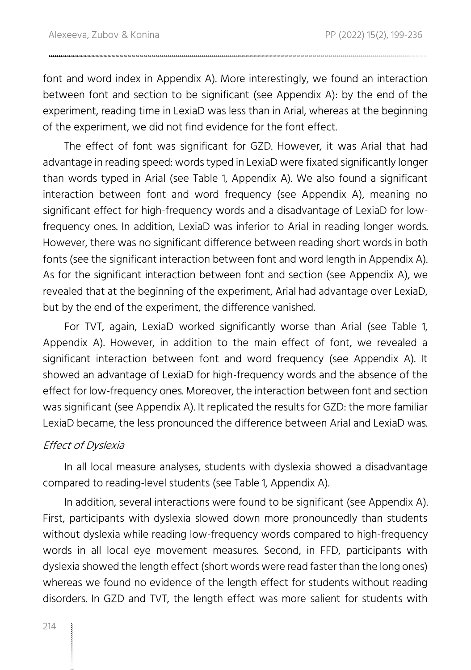font and word index in Appendix A). More interestingly, we found an interaction between font and section to be significant (see Appendix A): by the end of the experiment, reading time in LexiaD was less than in Arial, whereas at the beginning of the experiment, we did not find evidence for the font effect.

The effect of font was significant for GZD. However, it was Arial that had advantage in reading speed: words typed in LexiaD were fixated significantly longer than words typed in Arial (see Table 1, Appendix A). We also found a significant interaction between font and word frequency (see Appendix A), meaning no significant effect for high-frequency words and a disadvantage of LexiaD for lowfrequency ones. In addition, LexiaD was inferior to Arial in reading longer words. However, there was no significant difference between reading short words in both fonts (see the significant interaction between font and word length in Appendix A). As for the significant interaction between font and section (see Appendix A), we revealed that at the beginning of the experiment, Arial had advantage over LexiaD, but by the end of the experiment, the difference vanished.

For TVT, again, LexiaD worked significantly worse than Arial (see Table 1, Appendix A). However, in addition to the main effect of font, we revealed a significant interaction between font and word frequency (see Appendix A). It showed an advantage of LexiaD for high-frequency words and the absence of the effect for low-frequency ones. Moreover, the interaction between font and section was significant (see Appendix A). It replicated the results for GZD: the more familiar LexiaD became, the less pronounced the difference between Arial and LexiaD was.

#### Effect of Dyslexia

In all local measure analyses, students with dyslexia showed a disadvantage compared to reading-level students (see Table 1, Appendix A).

In addition, several interactions were found to be significant (see Appendix A). First, participants with dyslexia slowed down more pronouncedly than students without dyslexia while reading low-frequency words compared to high-frequency words in all local eye movement measures. Second, in FFD, participants with dyslexia showed the length effect (short words were read faster than the long ones) whereas we found no evidence of the length effect for students without reading disorders. In GZD and TVT, the length effect was more salient for students with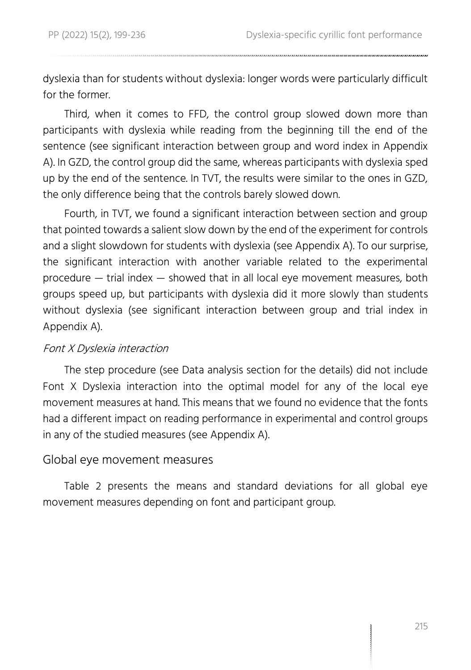dyslexia than for students without dyslexia: longer words were particularly difficult for the former.

Third, when it comes to FFD, the control group slowed down more than participants with dyslexia while reading from the beginning till the end of the sentence (see significant interaction between group and word index in Appendix A). In GZD, the control group did the same, whereas participants with dyslexia sped up by the end of the sentence. In TVT, the results were similar to the ones in GZD, the only difference being that the controls barely slowed down.

Fourth, in TVT, we found a significant interaction between section and group that pointed towards a salient slow down by the end of the experiment for controls and a slight slowdown for students with dyslexia (see Appendix A). To our surprise, the significant interaction with another variable related to the experimental procedure — trial index — showed that in all local eye movement measures, both groups speed up, but participants with dyslexia did it more slowly than students without dyslexia (see significant interaction between group and trial index in Appendix A).

#### Font X Dyslexia interaction

The step procedure (see Data analysis section for the details) did not include Font X Dyslexia interaction into the optimal model for any of the local eye movement measures at hand. This means that we found no evidence that the fonts had a different impact on reading performance in experimental and control groups in any of the studied measures (see Appendix A).

#### Global eye movement measures

Table 2 presents the means and standard deviations for all global eye movement measures depending on font and participant group.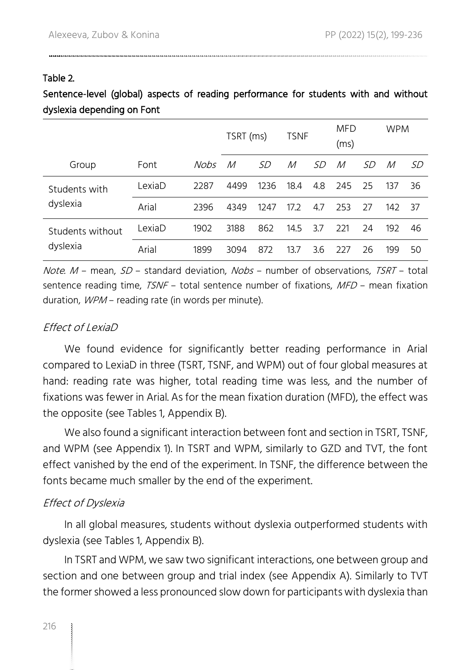#### Table 2.

#### Sentence-level (global) aspects of reading performance for students with and without dyslexia depending on Font

|                  |        |      | TSRT (ms) |      | <b>TSNF</b> |     | <b>MFD</b><br>(ms) |     | <b>WPM</b> |     |
|------------------|--------|------|-----------|------|-------------|-----|--------------------|-----|------------|-----|
| Group            | Font   | Nobs | М         | .SD  | М           | .SD | М                  | .SD | М          | SD  |
| Students with    | LexiaD | 2287 | 4499      | 1236 | 18.4        | 4.8 | 245                | 25  | 137        | 36  |
| dyslexia         | Arial  | 2396 | 4349      | 1247 | 17.2        | 4.7 | 253                | 27  | 142        | -37 |
| Students without | LexiaD | 1902 | 3188      | 862  | 14.5        | 3.7 | 221                | 24  | 192        | 46  |
| dyslexia         | Arial  | 1899 | 3094      | 872  | 13.7        | 3.6 | 227                | 26  | 199        | 50  |

Note.  $M$  – mean,  $SD$  – standard deviation, Nobs – number of observations, TSRT – total sentence reading time,  $TSNF -$  total sentence number of fixations,  $MFD -$  mean fixation duration, WPM – reading rate (in words per minute).

#### Effect of LexiaD

We found evidence for significantly better reading performance in Arial compared to LexiaD in three (TSRT, TSNF, and WPM) out of four global measures at hand: reading rate was higher, total reading time was less, and the number of fixations was fewer in Arial. As for the mean fixation duration (MFD), the effect was the opposite (see Tables 1, Appendix B).

We also found a significant interaction between font and section in TSRT, TSNF, and WPM (see Appendix 1). In TSRT and WPM, similarly to GZD and TVT, the font effect vanished by the end of the experiment. In TSNF, the difference between the fonts became much smaller by the end of the experiment.

#### Effect of Dyslexia

In all global measures, students without dyslexia outperformed students with dyslexia (see Tables 1, Appendix B).

In TSRT and WPM, we saw two significant interactions, one between group and section and one between group and trial index (see Appendix A). Similarly to TVT the former showed a less pronounced slow down for participants with dyslexia than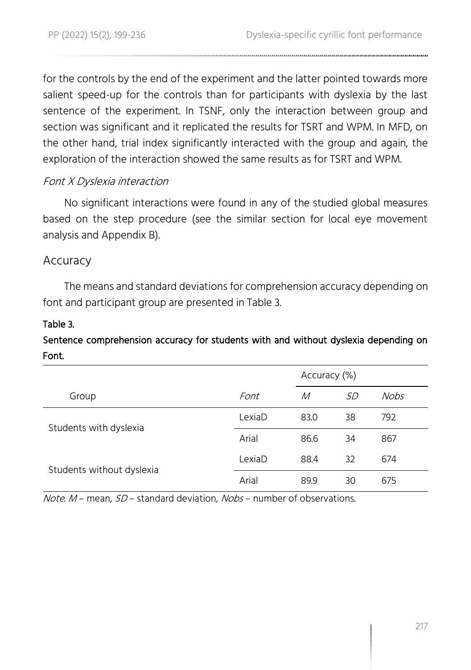for the controls by the end of the experiment and the latter pointed towards more salient speed-up for the controls than for participants with dyslexia by the last sentence of the experiment. In TSNF, only the interaction between group and section was significant and it replicated the results for TSRT and WPM. In MFD, on the other hand, trial index significantly interacted with the group and again, the exploration of the interaction showed the same results as for TSRT and WPM.

#### Font X Dyslexia interaction

No significant interactions were found in any of the studied global measures based on the step procedure (see the similar section for local eye movement analysis and Appendix B).

#### Accuracy

The means and standard deviations for comprehension accuracy depending on font and participant group are presented in Table 3.

#### Table 3.

#### Sentence comprehension accuracy for students with and without dyslexia depending on Font.

|                           |        | Accuracy (%) |           |             |
|---------------------------|--------|--------------|-----------|-------------|
| Group                     | Font   | М            | <i>SD</i> | <b>Nobs</b> |
| Students with dyslexia    | LexiaD | 83.0         | 38        | 792         |
|                           | Arial  | 86.6         | 34        | 867         |
| Students without dyslexia | LexiaD | 88.4         | 32        | 674         |
|                           | Arial  | 89.9         | 30        | 675         |

Note. M - mean, SD - standard deviation, Nobs - number of observations.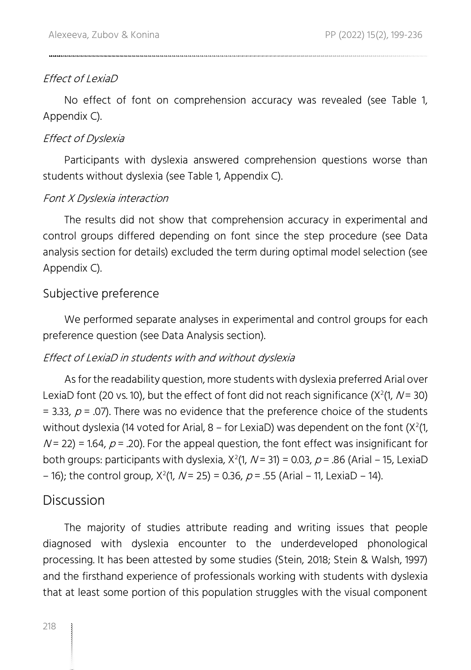#### Effect of LexiaD

No effect of font on comprehension accuracy was revealed (see Table 1, Appendix C).

#### Effect of Dyslexia

Participants with dyslexia answered comprehension questions worse than students without dyslexia (see Table 1, Appendix C).

#### Font X Dyslexia interaction

The results did not show that comprehension accuracy in experimental and control groups differed depending on font since the step procedure (see Data analysis section for details) excluded the term during optimal model selection (see Appendix C).

#### Subjective preference

We performed separate analyses in experimental and control groups for each preference question (see Data Analysis section).

#### Effect of LexiaD in students with and without dyslexia

As for the readability question, more students with dyslexia preferred Arial over LexiaD font (20 vs. 10), but the effect of font did not reach significance (X<sup>2</sup>(1, N = 30) = 3.33,  $p$  = .07). There was no evidence that the preference choice of the students without dyslexia (14 voted for Arial, 8 – for LexiaD) was dependent on the font (X<sup>2</sup>(1,  $N = 22$ ) = 1.64,  $p = 0.20$ . For the appeal question, the font effect was insignificant for both groups: participants with dyslexia, X<sup>2</sup>(1, N = 31) = 0.03, *p* = .86 (Arial – 15, LexiaD – 16); the control group,  $X^2(1, N = 25) = 0.36$ ,  $p = .55$  (Arial – 11, LexiaD – 14).

#### Discussion

The majority of studies attribute reading and writing issues that people diagnosed with dyslexia encounter to the underdeveloped phonological processing. It has been attested by some studies (Stein, 2018; Stein & Walsh, 1997) and the firsthand experience of professionals working with students with dyslexia that at least some portion of this population struggles with the visual component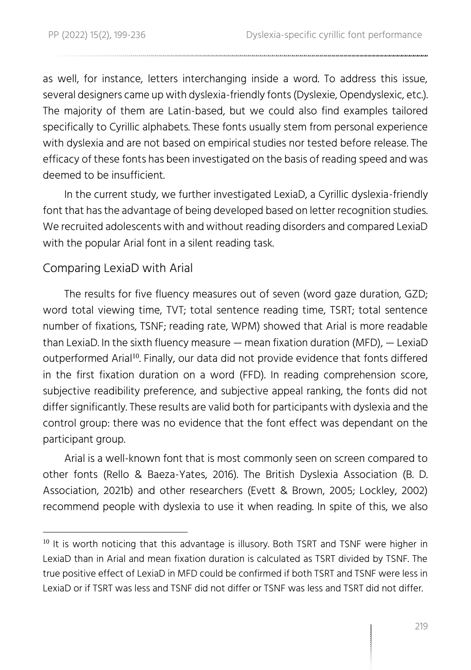as well, for instance, letters interchanging inside a word. To address this issue, several designers came up with dyslexia-friendly fonts (Dyslexie, Opendyslexic, etc.). The majority of them are Latin-based, but we could also find examples tailored specifically to Cyrillic alphabets. These fonts usually stem from personal experience with dyslexia and are not based on empirical studies nor tested before release. The efficacy of these fonts has been investigated on the basis of reading speed and was deemed to be insufficient.

In the current study, we further investigated LexiaD, a Cyrillic dyslexia-friendly font that has the advantage of being developed based on letter recognition studies. We recruited adolescents with and without reading disorders and compared LexiaD with the popular Arial font in a silent reading task.

#### Comparing LexiaD with Arial

The results for five fluency measures out of seven (word gaze duration, GZD; word total viewing time, TVT; total sentence reading time, TSRT; total sentence number of fixations, TSNF; reading rate, WPM) showed that Arial is more readable than LexiaD. In the sixth fluency measure — mean fixation duration (MFD), — LexiaD outperformed Arial<sup>10</sup>. Finally, our data did not provide evidence that fonts differed in the first fixation duration on a word (FFD). In reading comprehension score, subjective readibility preference, and subjective appeal ranking, the fonts did not differ significantly. These results are valid both for participants with dyslexia and the control group: there was no evidence that the font effect was dependant on the participant group.

Arial is a well-known font that is most commonly seen on screen compared to other fonts (Rello & Baeza-Yates, 2016). The British Dyslexia Association (B. D. Association, 2021b) and other researchers (Evett & Brown, 2005; Lockley, 2002) recommend people with dyslexia to use it when reading. In spite of this, we also

 $10$  It is worth noticing that this advantage is illusory. Both TSRT and TSNF were higher in LexiaD than in Arial and mean fixation duration is calculated as TSRT divided by TSNF. The true positive effect of LexiaD in MFD could be confirmed if both TSRT and TSNF were less in LexiaD or if TSRT was less and TSNF did not differ or TSNF was less and TSRT did not differ.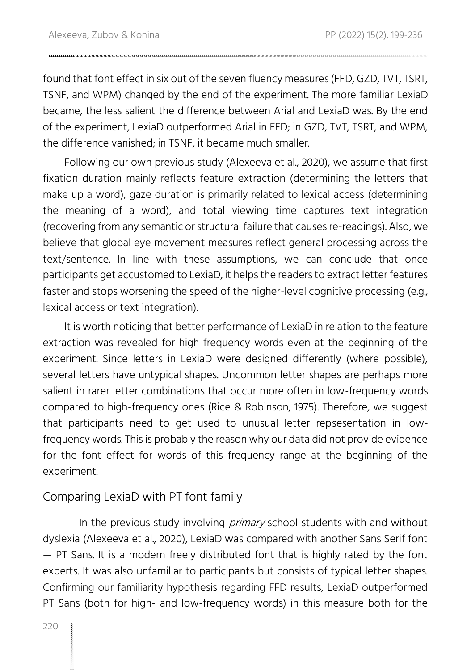found that font effect in six out of the seven fluency measures (FFD, GZD, TVT, TSRT, TSNF, and WPM) changed by the end of the experiment. The more familiar LexiaD became, the less salient the difference between Arial and LexiaD was. By the end of the experiment, LexiaD outperformed Arial in FFD; in GZD, TVT, TSRT, and WPM, the difference vanished; in TSNF, it became much smaller.

Following our own previous study (Alexeeva et al., 2020), we assume that first fixation duration mainly reflects feature extraction (determining the letters that make up a word), gaze duration is primarily related to lexical access (determining the meaning of a word), and total viewing time captures text integration (recovering from any semantic or structural failure that causes re-readings). Also, we believe that global eye movement measures reflect general processing across the text/sentence. In line with these assumptions, we can conclude that once participants get accustomed to LexiaD, it helps the readers to extract letter features faster and stops worsening the speed of the higher-level cognitive processing (e.g., lexical access or text integration).

It is worth noticing that better performance of LexiaD in relation to the feature extraction was revealed for high-frequency words even at the beginning of the experiment. Since letters in LexiaD were designed differently (where possible), several letters have untypical shapes. Uncommon letter shapes are perhaps more salient in rarer letter combinations that occur more often in low-frequency words compared to high-frequency ones (Rice & Robinson, 1975). Therefore, we suggest that participants need to get used to unusual letter repsesentation in lowfrequency words. This is probably the reason why our data did not provide evidence for the font effect for words of this frequency range at the beginning of the experiment.

#### Comparing LexiaD with PT font family

In the previous study involving *primary* school students with and without dyslexia (Alexeeva et al., 2020), LexiaD was compared with another Sans Serif font — PT Sans. It is a modern freely distributed font that is highly rated by the font experts. It was also unfamiliar to participants but consists of typical letter shapes. Confirming our familiarity hypothesis regarding FFD results, LexiaD outperformed PT Sans (both for high- and low-frequency words) in this measure both for the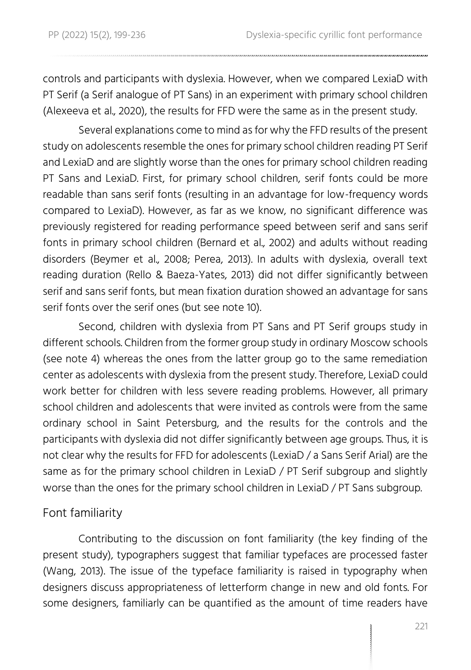controls and participants with dyslexia. However, when we compared LexiaD with PT Serif (a Serif analogue of PT Sans) in an experiment with primary school children (Alexeeva et al., 2020), the results for FFD were the same as in the present study.

Several explanations come to mind as for why the FFD results of the present study on adolescents resemble the ones for primary school children reading PT Serif and LexiaD and are slightly worse than the ones for primary school children reading PT Sans and LexiaD. First, for primary school children, serif fonts could be more readable than sans serif fonts (resulting in an advantage for low-frequency words compared to LexiaD). However, as far as we know, no significant difference was previously registered for reading performance speed between serif and sans serif fonts in primary school children (Bernard et al., 2002) and adults without reading disorders (Beymer et al., 2008; Perea, 2013). In adults with dyslexia, overall text reading duration (Rello & Baeza-Yates, 2013) did not differ significantly between serif and sans serif fonts, but mean fixation duration showed an advantage for sans serif fonts over the serif ones (but see note 10).

Second, children with dyslexia from PT Sans and PT Serif groups study in different schools. Children from the former group study in ordinary Moscow schools (see note 4) whereas the ones from the latter group go to the same remediation center as adolescents with dyslexia from the present study. Therefore, LexiaD could work better for children with less severe reading problems. However, all primary school children and adolescents that were invited as controls were from the same ordinary school in Saint Petersburg, and the results for the controls and the participants with dyslexia did not differ significantly between age groups. Thus, it is not clear why the results for FFD for adolescents (LexiaD / a Sans Serif Arial) are the same as for the primary school children in LexiaD / PT Serif subgroup and slightly worse than the ones for the primary school children in LexiaD / PT Sans subgroup.

#### Font familiarity

Contributing to the discussion on font familiarity (the key finding of the present study), typographers suggest that familiar typefaces are processed faster (Wang, 2013). The issue of the typeface familiarity is raised in typography when designers discuss appropriateness of letterform change in new and old fonts. For some designers, familiarly can be quantified as the amount of time readers have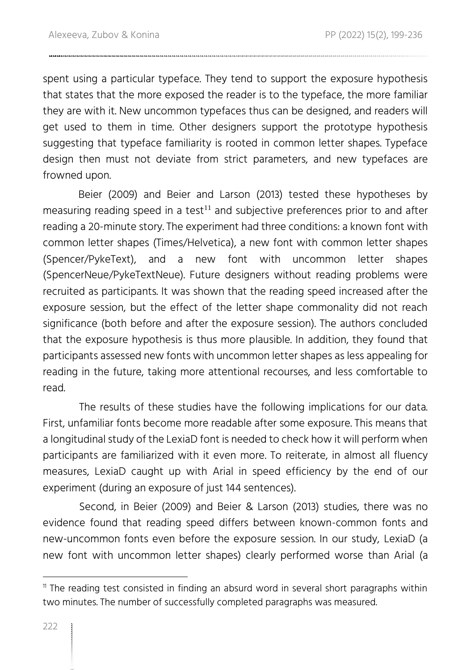spent using a particular typeface. They tend to support the exposure hypothesis that states that the more exposed the reader is to the typeface, the more familiar they are with it. New uncommon typefaces thus can be designed, and readers will get used to them in time. Other designers support the prototype hypothesis suggesting that typeface familiarity is rooted in common letter shapes. Typeface design then must not deviate from strict parameters, and new typefaces are frowned upon.

Beier (2009) and Beier and Larson (2013) tested these hypotheses by measuring reading speed in a test<sup>11</sup> and subjective preferences prior to and after reading a 20-minute story. The experiment had three conditions: a known font with common letter shapes (Times/Helvetica), a new font with common letter shapes (Spencer/PykeText), and a new font with uncommon letter shapes (SpencerNeue/PykeTextNeue). Future designers without reading problems were recruited as participants. It was shown that the reading speed increased after the exposure session, but the effect of the letter shape commonality did not reach significance (both before and after the exposure session). The authors concluded that the exposure hypothesis is thus more plausible. In addition, they found that participants assessed new fonts with uncommon letter shapes as less appealing for reading in the future, taking more attentional recourses, and less comfortable to read.

The results of these studies have the following implications for our data. First, unfamiliar fonts become more readable after some exposure. This means that a longitudinal study of the LexiaD font is needed to check how it will perform when participants are familiarized with it even more. To reiterate, in almost all fluency measures, LexiaD caught up with Arial in speed efficiency by the end of our experiment (during an exposure of just 144 sentences).

Second, in Beier (2009) and Beier & Larson (2013) studies, there was no evidence found that reading speed differs between known-common fonts and new-uncommon fonts even before the exposure session. In our study, LexiaD (a new font with uncommon letter shapes) clearly performed worse than Arial (a

 $<sup>11</sup>$  The reading test consisted in finding an absurd word in several short paragraphs within</sup> two minutes. The number of successfully completed paragraphs was measured.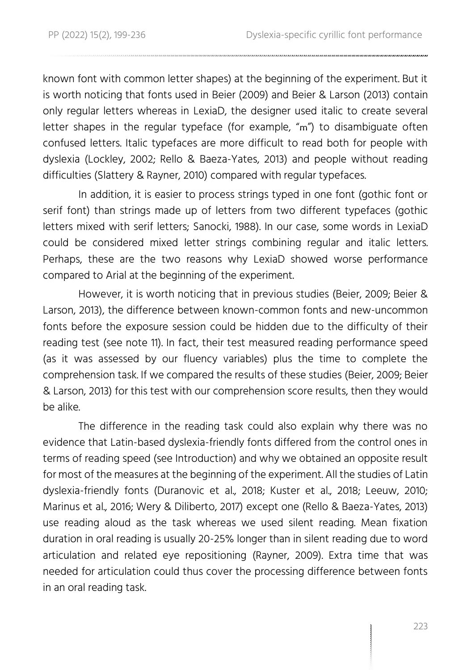known font with common letter shapes) at the beginning of the experiment. But it is worth noticing that fonts used in Beier (2009) and Beier & Larson (2013) contain only regular letters whereas in LexiaD, the designer used italic to create several letter shapes in the regular typeface (for example, "m") to disambiguate often confused letters. Italic typefaces are more difficult to read both for people with dyslexia (Lockley, 2002; Rello & Baeza-Yates, 2013) and people without reading difficulties (Slattery & Rayner, 2010) compared with regular typefaces.

In addition, it is easier to process strings typed in one font (gothic font or serif font) than strings made up of letters from two different typefaces (gothic letters mixed with serif letters; Sanocki, 1988). In our case, some words in LexiaD could be considered mixed letter strings combining regular and italic letters. Perhaps, these are the two reasons why LexiaD showed worse performance compared to Arial at the beginning of the experiment.

However, it is worth noticing that in previous studies (Beier, 2009; Beier & Larson, 2013), the difference between known-common fonts and new-uncommon fonts before the exposure session could be hidden due to the difficulty of their reading test (see note 11). In fact, their test measured reading performance speed (as it was assessed by our fluency variables) plus the time to complete the comprehension task. If we compared the results of these studies (Beier, 2009; Beier & Larson, 2013) for this test with our comprehension score results, then they would be alike.

The difference in the reading task could also explain why there was no evidence that Latin-based dyslexia-friendly fonts differed from the control ones in terms of reading speed (see Introduction) and why we obtained an opposite result for most of the measures at the beginning of the experiment. All the studies of Latin dyslexia-friendly fonts (Duranovic et al., 2018; Kuster et al., 2018; Leeuw, 2010; Marinus et al., 2016; Wery & Diliberto, 2017) except one (Rello & Baeza-Yates, 2013) use reading aloud as the task whereas we used silent reading. Mean fixation duration in oral reading is usually 20-25% longer than in silent reading due to word articulation and related eye repositioning (Rayner, 2009). Extra time that was needed for articulation could thus cover the processing difference between fonts in an oral reading task.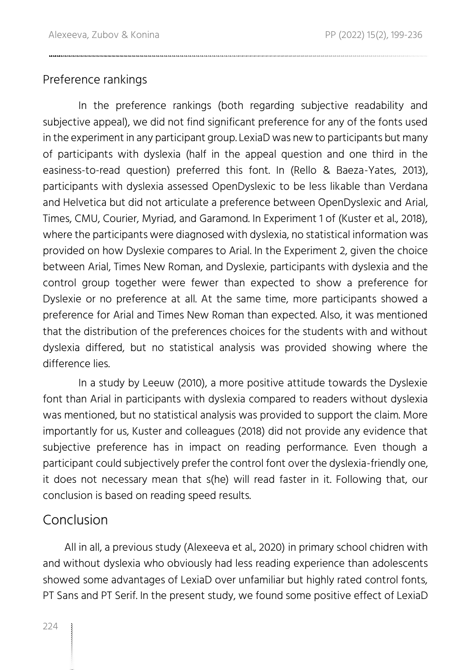#### Preference rankings

In the preference rankings (both regarding subjective readability and subjective appeal), we did not find significant preference for any of the fonts used in the experiment in any participant group. LexiaD was new to participants but many of participants with dyslexia (half in the appeal question and one third in the easiness-to-read question) preferred this font. In (Rello & Baeza-Yates, 2013), participants with dyslexia assessed OpenDyslexic to be less likable than Verdana and Helvetica but did not articulate a preference between OpenDyslexic and Arial, Times, CMU, Courier, Myriad, and Garamond. In Experiment 1 of (Kuster et al., 2018), where the participants were diagnosed with dyslexia, no statistical information was provided on how Dyslexie compares to Arial. In the Experiment 2, given the choice between Arial, Times New Roman, and Dyslexie, participants with dyslexia and the control group together were fewer than expected to show a preference for Dyslexie or no preference at all. At the same time, more participants showed a preference for Arial and Times New Roman than expected. Also, it was mentioned that the distribution of the preferences choices for the students with and without dyslexia differed, but no statistical analysis was provided showing where the difference lies.

In a study by Leeuw (2010), a more positive attitude towards the Dyslexie font than Arial in participants with dyslexia compared to readers without dyslexia was mentioned, but no statistical analysis was provided to support the claim. More importantly for us, Kuster and colleagues (2018) did not provide any evidence that subjective preference has in impact on reading performance. Even though a participant could subjectively prefer the control font over the dyslexia-friendly one, it does not necessary mean that s(he) will read faster in it. Following that, our conclusion is based on reading speed results.

#### Conclusion

All in all, a previous study (Alexeeva et al., 2020) in primary school chidren with and without dyslexia who obviously had less reading experience than adolescents showed some advantages of LexiaD over unfamiliar but highly rated control fonts, PT Sans and PT Serif. In the present study, we found some positive effect of LexiaD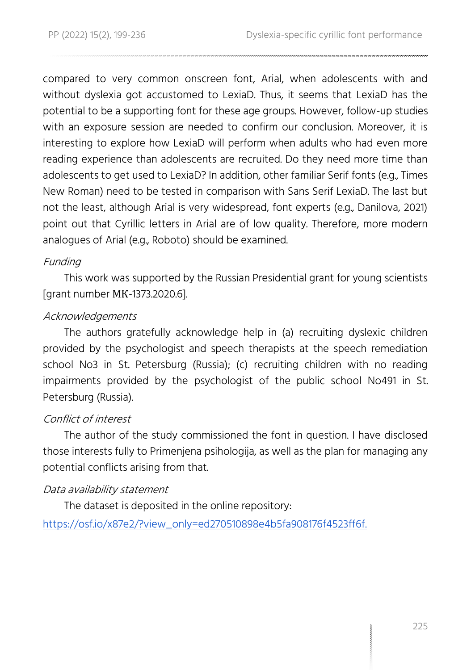compared to very common onscreen font, Arial, when adolescents with and without dyslexia got accustomed to LexiaD. Thus, it seems that LexiaD has the potential to be a supporting font for these age groups. However, follow-up studies with an exposure session are needed to confirm our conclusion. Moreover, it is interesting to explore how LexiaD will perform when adults who had even more reading experience than adolescents are recruited. Do they need more time than adolescents to get used to LexiaD? In addition, other familiar Serif fonts (e.g., Times New Roman) need to be tested in comparison with Sans Serif LexiaD. The last but not the least, although Arial is very widespread, font experts (e.g., Danilova, 2021) point out that Cyrillic letters in Arial are of low quality. Therefore, more modern analogues of Arial (e.g., Roboto) should be examined.

#### Funding

This work was supported by the Russian Presidential grant for young scientists [grant number МК-1373.2020.6].

#### Acknowledgements

The authors gratefully acknowledge help in (a) recruiting dyslexic children provided by the psychologist and speech therapists at the speech remediation school No3 in St. Petersburg (Russia); (c) recruiting children with no reading impairments provided by the psychologist of the public school No491 in St. Petersburg (Russia).

#### Conflict of interest

The author of the study commissioned the font in question. I have disclosed those interests fully to Primenjena psihologija, as well as the plan for managing any potential conflicts arising from that.

#### Data availability statement

The dataset is deposited in the online repository:

https://osf.io/x87e2/?view\_only=ed270510898e4b5fa908176f4523ff6f.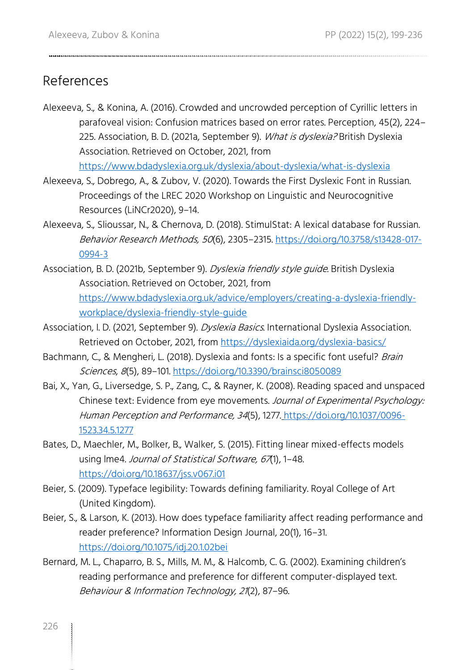#### References

Alexeeva, S., & Konina, A. (2016). Crowded and uncrowded perception of Cyrillic letters in parafoveal vision: Confusion matrices based on error rates. Perception, 45(2), 224– 225. Association, B. D. (2021a, September 9). What is dyslexia? British Dyslexia Association. Retrieved on October, 2021, from

<https://www.bdadyslexia.org.uk/dyslexia/about-dyslexia/what-is-dyslexia>

- Alexeeva, S., Dobrego, A., & Zubov, V. (2020). Towards the First Dyslexic Font in Russian. Proceedings of the LREC 2020 Workshop on Linguistic and Neurocognitive Resources (LiNCr2020), 9–14.
- Alexeeva, S., Slioussar, N., & Chernova, D. (2018). StimulStat: A lexical database for Russian. Behavior Research Methods, 50(6), 2305-2315[. https://doi.org/10.3758/s13428-017-](https://doi.org/10.3758/s13428-017-0994-3) [0994-3](https://doi.org/10.3758/s13428-017-0994-3)
- Association, B. D. (2021b, September 9). *Dyslexia friendly style quide*. British Dyslexia Association. Retrieved on October, 2021, from [https://www.bdadyslexia.org.uk/advice/employers/creating-a-dyslexia-friendly](https://www.bdadyslexia.org.uk/advice/employers/creating-a-dyslexia-friendly-workplace/dyslexia-friendly-style-guide)[workplace/dyslexia-friendly-style-guide](https://www.bdadyslexia.org.uk/advice/employers/creating-a-dyslexia-friendly-workplace/dyslexia-friendly-style-guide)
- Association, I. D. (2021, September 9). *Dyslexia Basics*. International Dyslexia Association. Retrieved on October, 2021, from<https://dyslexiaida.org/dyslexia-basics/>
- Bachmann, C., & Mengheri, L. (2018). Dyslexia and fonts: Is a specific font useful? Brain Sciences, 8(5), 89–101.<https://doi.org/10.3390/brainsci8050089>
- Bai, X., Yan, G., Liversedge, S. P., Zang, C., & Rayner, K. (2008). Reading spaced and unspaced Chinese text: Evidence from eye movements. Journal of Experimental Psychology: Human Perception and Performance, 34(5), 1277. [https://doi.org/10.1037/0096-](https://doi.org/10.1037/0096-1523.34.5.1277) [1523.34.5.1277](https://doi.org/10.1037/0096-1523.34.5.1277)
- Bates, D., Maechler, M., Bolker, B., Walker, S. (2015). Fitting linear mixed-effects models using Ime4. Journal of Statistical Software, 67(1), 1-48. <https://doi.org/10.18637/jss.v067.i01>
- Beier, S. (2009). Typeface legibility: Towards defining familiarity. Royal College of Art (United Kingdom).
- Beier, S., & Larson, K. (2013). How does typeface familiarity affect reading performance and reader preference? Information Design Journal, 20(1), 16–31. <https://doi.org/10.1075/idj.20.1.02bei>
- Bernard, M. L., Chaparro, B. S., Mills, M. M., & Halcomb, C. G. (2002). Examining children's reading performance and preference for different computer-displayed text. Behaviour & Information Technology, 21(2), 87–96.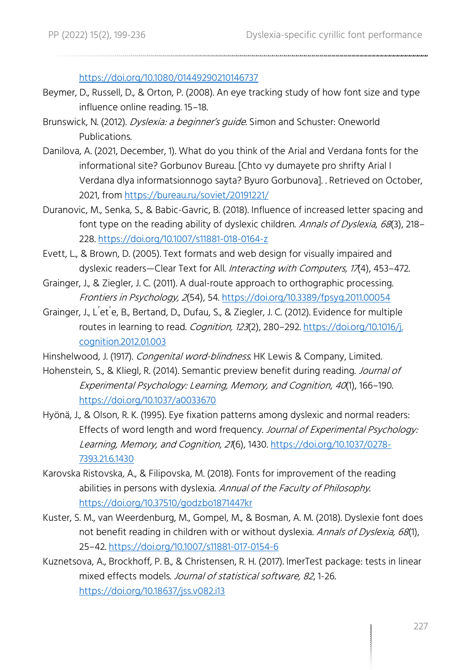<https://doi.org/10.1080/01449290210146737>

- Beymer, D., Russell, D., & Orton, P. (2008). An eye tracking study of how font size and type influence online reading. 15–18.
- Brunswick, N. (2012). Dyslexia: a beginner's guide. Simon and Schuster: Oneworld Publications.
- Danilova, A. (2021, December, 1). What do you think of the Arial and Verdana fonts for the informational site? Gorbunov Bureau. [Chto vy dumayete pro shrifty Arial I Verdana dlya informatsionnogo sayta? Byuro Gorbunova]. . Retrieved on October, 2021, from<https://bureau.ru/soviet/20191221/>
- Duranovic, M., Senka, S., & Babic-Gavric, B. (2018). Influence of increased letter spacing and font type on the reading ability of dyslexic children. Annals of Dyslexia, 68(3), 218-228[. https://doi.org/10.1007/s11881-018-0164-z](https://doi.org/10.1007/s11881-018-0164-z)
- Evett, L., & Brown, D. (2005). Text formats and web design for visually impaired and dyslexic readers-Clear Text for All. Interacting with Computers, 17(4), 453-472.
- Grainger, J., & Ziegler, J. C. (2011). A dual-route approach to orthographic processing. Frontiers in Psychology, 2(54), 54[. https://doi.org/10.3389/fpsyg.2011.00054](https://doi.org/10.3389/fpsyg.2011.00054)
- Grainger, J., L ́et ́e, B., Bertand, D., Dufau, S., & Ziegler, J. C. (2012). Evidence for multiple routes in learning to read. Cognition, 123(2), 280-292. https://doi.org/10.1016/j. [cognition.2012.01.003](https://doi.org/10.1016/j.%20cognition.2012.01.003)
- Hinshelwood, J. (1917). Congenital word-blindness. HK Lewis & Company, Limited.
- Hohenstein, S., & Kliegl, R. (2014). Semantic preview benefit during reading. Journal of Experimental Psychology: Learning, Memory, and Cognition, 40(1), 166–190. <https://doi.org/10.1037/a0033670>
- Hyönä, J., & Olson, R. K. (1995). Eye fixation patterns among dyslexic and normal readers: Effects of word length and word frequency. Journal of Experimental Psychology: Learning, Memory, and Cognition, 21(6), 1430. [https://doi.org/10.1037/0278-](https://doi.org/10.1037/0278-7393.21.6.1430) [7393.21.6.1430](https://doi.org/10.1037/0278-7393.21.6.1430)
- Karovska Ristovska, A., & Filipovska, M. (2018). Fonts for improvement of the reading abilities in persons with dyslexia. Annual of the Faculty of Philosophy. <https://doi.org/10.37510/godzbo1871447kr>
- Kuster, S. M., van Weerdenburg, M., Gompel, M., & Bosman, A. M. (2018). Dyslexie font does not benefit reading in children with or without dyslexia. Annals of Dyslexia, 68(1), 25–42.<https://doi.org/10.1007/s11881-017-0154-6>
- Kuznetsova, A., Brockhoff, P. B., & Christensen, R. H. (2017). lmerTest package: tests in linear mixed effects models. Journal of statistical software, 82, 1-26. <https://doi.org/10.18637/jss.v082.i13>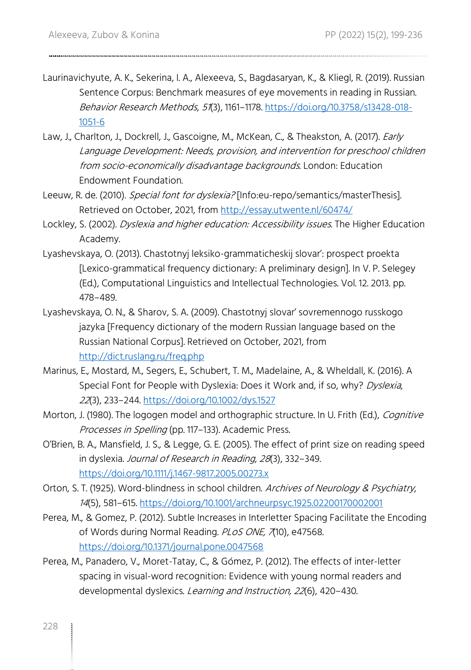- Laurinavichyute, A. K., Sekerina, I. A., Alexeeva, S., Bagdasaryan, K., & Kliegl, R. (2019). Russian Sentence Corpus: Benchmark measures of eye movements in reading in Russian. Behavior Research Methods, 51(3), 1161–1178[. https://doi.org/10.3758/s13428-018-](https://doi.org/10.3758/s13428-018-1051-6) [1051-6](https://doi.org/10.3758/s13428-018-1051-6)
- Law, J., Charlton, J., Dockrell, J., Gascoigne, M., McKean, C., & Theakston, A. (2017). Early Language Development: Needs, provision, and intervention for preschool children from socio-economically disadvantage backgrounds. London: Education Endowment Foundation.
- Leeuw, R. de. (2010). Special font for dyslexia? [Info:eu-repo/semantics/masterThesis]. Retrieved on October, 2021, from<http://essay.utwente.nl/60474/>
- Lockley, S. (2002). *Dyslexia and higher education: Accessibility issues*. The Higher Education Academy.
- Lyashevskaya, O. (2013). Chastotnyj leksiko-grammaticheskij slovar': prospect proekta [Lexico-grammatical frequency dictionary: A preliminary design]. In V. P. Selegey (Ed.), Computational Linguistics and Intellectual Technologies. Vol. 12. 2013. pp. 478–489.
- Lyashevskaya, O. N., & Sharov, S. A. (2009). Chastotnyj slovar' sovremennogo russkogo jazyka [Frequency dictionary of the modern Russian language based on the Russian National Corpus]. Retrieved on October, 2021, from <http://dict.ruslang.ru/freq.php>
- Marinus, E., Mostard, M., Segers, E., Schubert, T. M., Madelaine, A., & Wheldall, K. (2016). A Special Font for People with Dyslexia: Does it Work and, if so, why? Dyslexia, <sup>22</sup>(3), 233–244[. https://doi.org/10.1002/dys.1527](https://doi.org/10.1002/dys.1527)
- Morton, J. (1980). The logogen model and orthographic structure. In U. Frith (Ed.), *Cognitive* Processes in Spelling (pp. 117-133). Academic Press.
- O'Brien, B. A., Mansfield, J. S., & Legge, G. E. (2005). The effect of print size on reading speed in dyslexia. Journal of Research in Reading, <sup>28</sup>(3), 332–349. <https://doi.org/10.1111/j.1467-9817.2005.00273.x>
- Orton, S. T. (1925). Word-blindness in school children. Archives of Neurology & Psychiatry, <sup>14</sup>(5), 581–615.<https://doi.org/10.1001/archneurpsyc.1925.02200170002001>
- Perea, M., & Gomez, P. (2012). Subtle Increases in Interletter Spacing Facilitate the Encoding of Words during Normal Reading. PLOS ONE, 7(10), e47568. <https://doi.org/10.1371/journal.pone.0047568>
- Perea, M., Panadero, V., Moret-Tatay, C., & Gómez, P. (2012). The effects of inter-letter spacing in visual-word recognition: Evidence with young normal readers and developmental dyslexics. Learning and Instruction, 22(6), 420-430.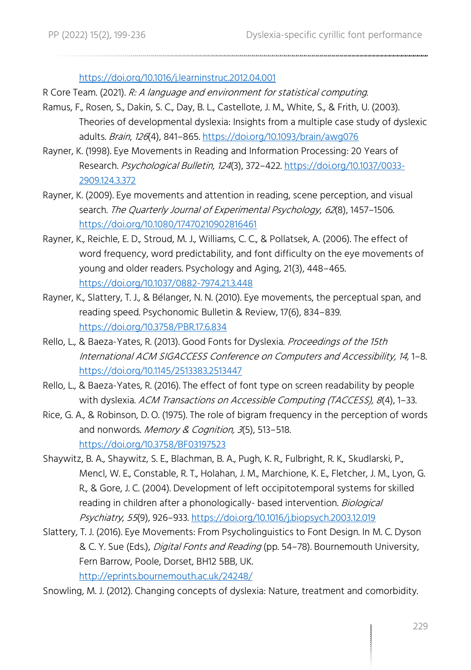<https://doi.org/10.1016/j.learninstruc.2012.04.001>

- R Core Team. (2021). R: A language and environment for statistical computing.
- Ramus, F., Rosen, S., Dakin, S. C., Day, B. L., Castellote, J. M., White, S., & Frith, U. (2003). Theories of developmental dyslexia: Insights from a multiple case study of dyslexic adults. Brain, 126(4), 841–865.<https://doi.org/10.1093/brain/awg076>
- Rayner, K. (1998). Eye Movements in Reading and Information Processing: 20 Years of Research. Psychological Bulletin, 124(3), 372–422[. https://doi.org/10.1037/0033-](https://doi.org/10.1037/0033-2909.124.3.372) [2909.124.3.372](https://doi.org/10.1037/0033-2909.124.3.372)
- Rayner, K. (2009). Eye movements and attention in reading, scene perception, and visual search. The Quarterly Journal of Experimental Psychology, 62(8), 1457-1506. <https://doi.org/10.1080/17470210902816461>
- Rayner, K., Reichle, E. D., Stroud, M. J., Williams, C. C., & Pollatsek, A. (2006). The effect of word frequency, word predictability, and font difficulty on the eye movements of young and older readers. Psychology and Aging, 21(3), 448–465. <https://doi.org/10.1037/0882-7974.21.3.448>
- Rayner, K., Slattery, T. J., & Bélanger, N. N. (2010). Eye movements, the perceptual span, and reading speed. Psychonomic Bulletin & Review, 17(6), 834–839. <https://doi.org/10.3758/PBR.17.6.834>
- Rello, L., & Baeza-Yates, R. (2013). Good Fonts for Dyslexia. Proceedings of the 15th International ACM SIGACCESS Conference on Computers and Accessibility, 14, 1–8. <https://doi.org/10.1145/2513383.2513447>
- Rello, L., & Baeza-Yates, R. (2016). The effect of font type on screen readability by people with dyslexia. ACM Transactions on Accessible Computing (TACCESS), 8(4), 1-33.
- Rice, G. A., & Robinson, D. O. (1975). The role of bigram frequency in the perception of words and nonwords. Memory & Cognition, 3(5), 513-518. <https://doi.org/10.3758/BF03197523>
- Shaywitz, B. A., Shaywitz, S. E., Blachman, B. A., Pugh, K. R., Fulbright, R. K., Skudlarski, P., Mencl, W. E., Constable, R. T., Holahan, J. M., Marchione, K. E., Fletcher, J. M., Lyon, G. R., & Gore, J. C. (2004). Development of left occipitotemporal systems for skilled reading in children after a phonologically- based intervention. Biological Psychiatry, 55(9), 926–933.<https://doi.org/10.1016/j.biopsych.2003.12.019>
- Slattery, T. J. (2016). Eye Movements: From Psycholinguistics to Font Design. In M. C. Dyson & C. Y. Sue (Eds.), Digital Fonts and Reading (pp. 54–78). Bournemouth University, Fern Barrow, Poole, Dorset, BH12 5BB, UK.

<http://eprints.bournemouth.ac.uk/24248/>

Snowling, M. J. (2012). Changing concepts of dyslexia: Nature, treatment and comorbidity.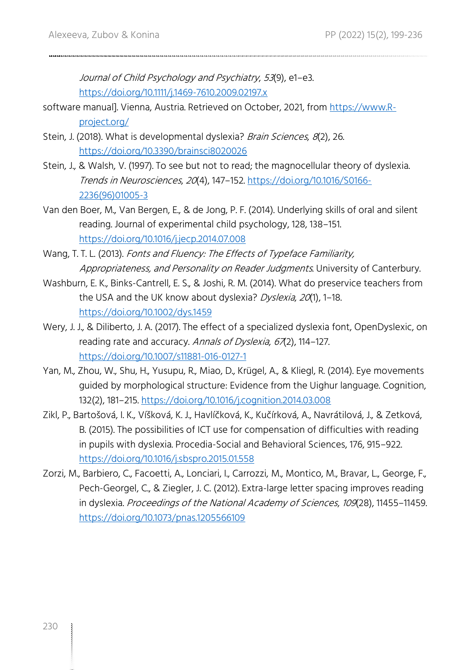Journal of Child Psychology and Psychiatry, 53(9), e1–e3. <https://doi.org/10.1111/j.1469-7610.2009.02197.x>

- software manual]. Vienna, Austria. Retrieved on October, 2021, from [https://www.R](https://www.r-project.org/)[project.org/](https://www.r-project.org/)
- Stein, J. (2018). What is developmental dyslexia? Brain Sciences, 8(2), 26. <https://doi.org/10.3390/brainsci8020026>
- Stein, J., & Walsh, V. (1997). To see but not to read; the magnocellular theory of dyslexia. Trends in Neurosciences, 20(4), 147–152. [https://doi.org/10.1016/S0166-](https://doi.org/10.1016/S0166-2236(96)01005-3) [2236\(96\)01005-3](https://doi.org/10.1016/S0166-2236(96)01005-3)
- Van den Boer, M., Van Bergen, E., & de Jong, P. F. (2014). Underlying skills of oral and silent reading. Journal of experimental child psychology, 128, 138–151. <https://doi.org/10.1016/j.jecp.2014.07.008>
- Wang, T. T. L. (2013). Fonts and Fluency: The Effects of Typeface Familiarity, Appropriateness, and Personality on Reader Judgments. University of Canterbury.
- Washburn, E. K., Binks-Cantrell, E. S., & Joshi, R. M. (2014). What do preservice teachers from the USA and the UK know about dyslexia? Dyslexia, 20(1), 1-18. <https://doi.org/10.1002/dys.1459>
- Wery, J. J., & Diliberto, J. A. (2017). The effect of a specialized dyslexia font, OpenDyslexic, on reading rate and accuracy. Annals of Dyslexia, 67(2), 114-127. <https://doi.org/10.1007/s11881-016-0127-1>
- Yan, M., Zhou, W., Shu, H., Yusupu, R., Miao, D., Krügel, A., & Kliegl, R. (2014). Eye movements guided by morphological structure: Evidence from the Uighur language. Cognition, 132(2), 181–215[. https://doi.org/10.1016/j.cognition.2014.03.008](https://doi.org/10.1016/j.cognition.2014.03.008)
- Zikl, P., Bartošová, I. K., Víšková, K. J., Havlíčková, K., Kučírková, A., Navrátilová, J., & Zetková, B. (2015). The possibilities of ICT use for compensation of difficulties with reading in pupils with dyslexia. Procedia-Social and Behavioral Sciences, 176, 915–922. <https://doi.org/10.1016/j.sbspro.2015.01.558>
- Zorzi, M., Barbiero, C., Facoetti, A., Lonciari, I., Carrozzi, M., Montico, M., Bravar, L., George, F., Pech-Georgel, C., & Ziegler, J. C. (2012). Extra-large letter spacing improves reading in dyslexia. Proceedings of the National Academy of Sciences, 109(28), 11455–11459. <https://doi.org/10.1073/pnas.1205566109>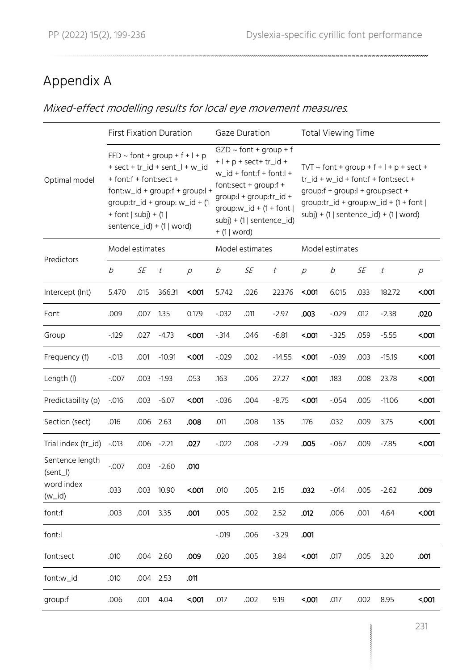## Appendix A

#### Mixed-effect modelling results for local eye movement measures.

|                             | <b>First Fixation Duration</b>                        |           |                                                                                                                                                   |                                     |              | <b>Gaze Duration</b>                                                                                                                          |                                                          | <b>Total Viewing Time</b>                                                                                                                                                                                          |                 |           |          |                   |  |
|-----------------------------|-------------------------------------------------------|-----------|---------------------------------------------------------------------------------------------------------------------------------------------------|-------------------------------------|--------------|-----------------------------------------------------------------------------------------------------------------------------------------------|----------------------------------------------------------|--------------------------------------------------------------------------------------------------------------------------------------------------------------------------------------------------------------------|-----------------|-----------|----------|-------------------|--|
| Optimal model               | + font:f + font:sect +<br>$+$ font $ $ subj $) + (1 $ |           | $FFD \sim$ font + group + f + l + p<br>$+$ sect $+$ tr_id $+$ sent_l $+$ w_id<br>group: $tr_id + group: w_id + (1$<br>sentence_id) + $(1   word)$ | $fort:w_id + group: f + group: l +$ | + (1   word) | $GZD \sim$ font + group + f<br>$+$   + p + sect+ tr_id +<br>$w_id + font:f + font:I +$<br>font:sect + $qroup: f +$<br>group:l + group:tr_id + | group: $w_id + (1 + font)$<br>$subj$ + (1   sentence_id) | $TVT \sim$ font + group + f + l + p + sect +<br>$tr_id + w_id + font:f + font:sect +$<br>group:f + group:l + group:sect +<br>group: $tr_id + group:w_id + (1 + font)$<br>$subi$ ) + (1   sentence_id) + (1   word) |                 |           |          |                   |  |
|                             | Model estimates                                       |           |                                                                                                                                                   |                                     |              | Model estimates                                                                                                                               |                                                          |                                                                                                                                                                                                                    | Model estimates |           |          |                   |  |
| Predictors                  | b                                                     | <b>SE</b> | t                                                                                                                                                 | $\mathcal{D}$                       | b            | SE                                                                                                                                            | $\it t$                                                  | $\mathcal{D}$                                                                                                                                                                                                      | b               | <b>SE</b> | t        | $\overline{\rho}$ |  |
| Intercept (Int)             | 5.470                                                 | .015      | 366.31                                                                                                                                            | 5001                                | 5.742        | .026                                                                                                                                          | 223.76                                                   | 5001                                                                                                                                                                                                               | 6.015           | .033      | 182.72   | 5001              |  |
| Font                        | .009                                                  | .007      | 1.35                                                                                                                                              | 0.179                               | $-0.032$     | .011                                                                                                                                          | $-2.97$                                                  | .003                                                                                                                                                                                                               | $-0.029$        | .012      | $-2.38$  | .020              |  |
| Group                       | $-129$                                                | .027      | $-4.73$                                                                                                                                           | 5001                                | $-314$       | .046                                                                                                                                          | $-6.81$                                                  | 5001                                                                                                                                                                                                               | $-325$          | .059      | $-5.55$  | $001$             |  |
| Frequency (f)               | $-0.013$                                              | .001      | $-10.91$                                                                                                                                          | <.001                               | $-0.029$     | .002                                                                                                                                          | $-14.55$                                                 | 5001                                                                                                                                                                                                               | $-0.039$        | .003      | $-15.19$ | 5001              |  |
| Length (I)                  | $-0.007$                                              | .003      | $-1.93$                                                                                                                                           | .053                                | .163         | .006                                                                                                                                          | 27.27                                                    | 5001                                                                                                                                                                                                               | .183            | .008      | 23.78    | 5001              |  |
| Predictability (p)          | $-0.016$                                              | .003      | $-6.07$                                                                                                                                           | 5001                                | $-0.036$     | .004                                                                                                                                          | $-8.75$                                                  | 5001                                                                                                                                                                                                               | $-0.054$        | .005      | $-11.06$ | 5001              |  |
| Section (sect)              | .016                                                  | .006      | 2.63                                                                                                                                              | .008                                | .011         | .008                                                                                                                                          | 1.35                                                     | .176                                                                                                                                                                                                               | .032            | .009      | 3.75     | <.001             |  |
| Trial index (tr_id)         | $-0.013$                                              | .006      | $-2.21$                                                                                                                                           | .027                                | $-0.022$     | .008                                                                                                                                          | $-2.79$                                                  | .005                                                                                                                                                                                                               | $-067$          | .009      | $-7.85$  | 5001              |  |
| Sentence length<br>(sent_l) | $-0.007$                                              | .003      | $-2.60$                                                                                                                                           | .010                                |              |                                                                                                                                               |                                                          |                                                                                                                                                                                                                    |                 |           |          |                   |  |
| word index<br>$(w_id)$      | .033                                                  | .003      | 10.90                                                                                                                                             | $001$                               | .010         | .005                                                                                                                                          | 2.15                                                     | .032                                                                                                                                                                                                               | $-0.014$        | .005      | $-2.62$  | .009              |  |
| font:f                      | .003                                                  | .001      | 3.35                                                                                                                                              | .001                                | .005         | .002                                                                                                                                          | 2.52                                                     | .012                                                                                                                                                                                                               | .006            | .001      | 4.64     | 5001              |  |
| font:l                      |                                                       |           |                                                                                                                                                   |                                     | $-0.019$     | .006                                                                                                                                          | $-3.29$                                                  | .001                                                                                                                                                                                                               |                 |           |          |                   |  |
| font:sect                   | .010                                                  | .004      | 2.60                                                                                                                                              | .009                                | .020         | .005                                                                                                                                          | 3.84                                                     | 5001                                                                                                                                                                                                               | .017            | .005      | 3.20     | .001              |  |
| font:w_id                   | .010                                                  | .004      | 2.53                                                                                                                                              | .011                                |              |                                                                                                                                               |                                                          |                                                                                                                                                                                                                    |                 |           |          |                   |  |
| group:f                     | .006                                                  | .001      | 4.04                                                                                                                                              | 5001                                | .017         | .002                                                                                                                                          | 9.19                                                     | 5001                                                                                                                                                                                                               | .017            | .002      | 8.95     | <.001             |  |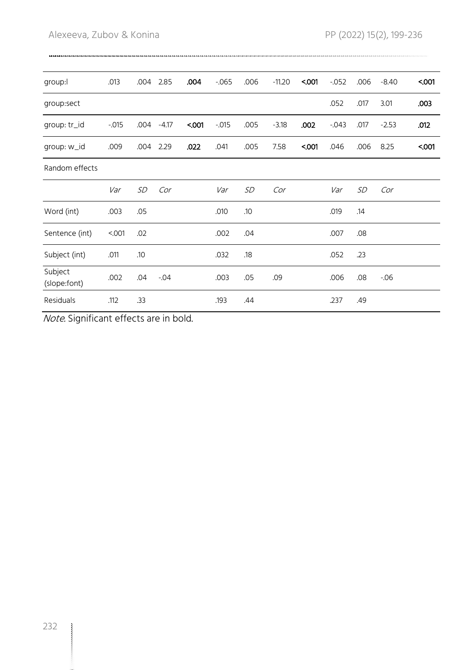| group:                  | .013     | .004      | 2.85    | .004 | $-065$   | .006 | $-11.20$ | 5001 | $-052$   | .006 | $-8.40$ | 5001 |
|-------------------------|----------|-----------|---------|------|----------|------|----------|------|----------|------|---------|------|
| group:sect              |          |           |         |      |          |      |          |      | .052     | .017 | 3.01    | .003 |
| group: tr_id            | $-0.015$ | .004      | $-4.17$ | 5001 | $-0.015$ | .005 | $-3.18$  | .002 | $-0.043$ | .017 | $-2.53$ | .012 |
| group: w_id             | .009     | .004      | 2.29    | .022 | .041     | .005 | 7.58     | 5001 | .046     | .006 | 8.25    | 5001 |
| Random effects          |          |           |         |      |          |      |          |      |          |      |         |      |
|                         | Var      | <b>SD</b> | Cor     |      | Var      | SD   | Cor      |      | Var      | SD   | Cor     |      |
| Word (int)              | .003     | .05       |         |      | .010     | .10  |          |      | .019     | .14  |         |      |
| Sentence (int)          | < 001    | .02       |         |      | .002     | .04  |          |      | .007     | .08  |         |      |
| Subject (int)           | .011     | .10       |         |      | .032     | .18  |          |      | .052     | .23  |         |      |
| Subject<br>(slope:font) | .002     | .04       | $-0.04$ |      | .003     | .05  | .09      |      | .006     | .08  | $-0.06$ |      |
| <b>Residuals</b>        | .112     | .33       |         |      | .193     | .44  |          |      | .237     | .49  |         |      |

Note. Significant effects are in bold.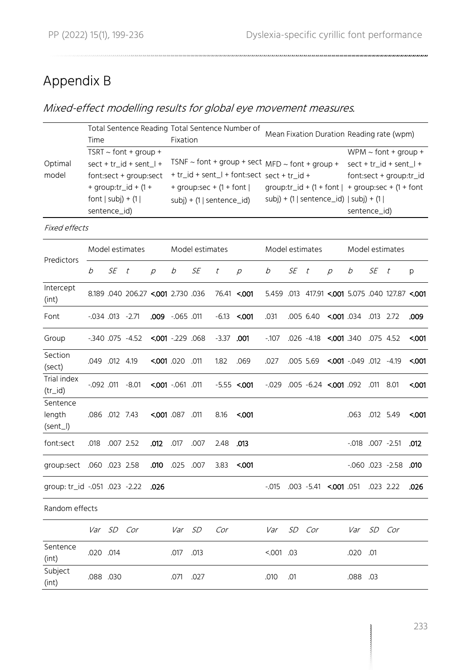## Appendix B

#### Mixed-effect modelling results for global eye movement measures.

|                                  | Time                                                                                                                                                         |           |                                    |               | Fixation                                                                                                                                                              |           |              | Total Sentence Reading Total Sentence Number of | Mean Fixation Duration Reading rate (wpm)                                                    |     |                               |               |                                                                                                 |           |                                                 |      |
|----------------------------------|--------------------------------------------------------------------------------------------------------------------------------------------------------------|-----------|------------------------------------|---------------|-----------------------------------------------------------------------------------------------------------------------------------------------------------------------|-----------|--------------|-------------------------------------------------|----------------------------------------------------------------------------------------------|-----|-------------------------------|---------------|-------------------------------------------------------------------------------------------------|-----------|-------------------------------------------------|------|
| Optimal<br>model                 | TSRT $\sim$ font + group +<br>sect + tr_id + sent_l +<br>font:sect + group:sect<br>+ group: $\text{tr}_id + (1 +$<br>font $ $ subj $) + (1 $<br>sentence_id) |           |                                    |               | TSNF $\sim$ font + group + sect MFD $\sim$ font + group +<br>+ tr_id + sent_l + font:sect sect + tr_id +<br>+ group:sec + $(1 +$ font  <br>$subj$ + (1   sentence_id) |           |              |                                                 | group:tr_id + (1 + font   + group:sec + (1 + font<br>$subj$ + (1   sentence_id)   subj) + (1 |     |                               |               | $WPM \sim$ font + group +<br>sect + tr_id + sent_l +<br>font:sect + group:tr_id<br>sentence_id) |           |                                                 |      |
| <b>Fixed effects</b>             |                                                                                                                                                              |           |                                    |               |                                                                                                                                                                       |           |              |                                                 |                                                                                              |     |                               |               |                                                                                                 |           |                                                 |      |
|                                  | Model estimates                                                                                                                                              |           |                                    |               | Model estimates                                                                                                                                                       |           |              |                                                 | Model estimates                                                                              |     |                               |               | Model estimates                                                                                 |           |                                                 |      |
| Predictors                       | b                                                                                                                                                            | <b>SE</b> | t                                  | $\mathcal{D}$ | b                                                                                                                                                                     | <b>SE</b> | $\it t$      | $\mathcal{D}$                                   | b                                                                                            | SE  | t                             | $\mathcal{D}$ | b                                                                                               | SE        | t                                               | p    |
| Intercept<br>(int)               |                                                                                                                                                              |           | 8.189 .040 206.27 <.001 2.730 .036 |               |                                                                                                                                                                       |           |              | 76.41 <.001                                     |                                                                                              |     |                               |               |                                                                                                 |           | 5.459 .013 417.91 < 001 5.075 .040 127.87 < 001 |      |
| Font                             | $-0.034$ $0.013$ $-2.71$                                                                                                                                     |           |                                    | .009          | 011. 065-                                                                                                                                                             |           | $-6.13$      | 5001                                            | .031                                                                                         |     | .005 6.40                     | 5001.034      |                                                                                                 | .013 2.72 |                                                 | .009 |
| Group                            |                                                                                                                                                              |           | $-0.340$ $0.075$ $-4.52$           |               | $5001 - 229.068$                                                                                                                                                      |           | $-3.37$ .001 |                                                 | $-107$                                                                                       |     | 075 4.52. 080. 080. 075 4.52. |               |                                                                                                 |           |                                                 | 5001 |
| Section<br>(sect)                | .049 .012 4.19                                                                                                                                               |           |                                    |               | 011. 020. 000.>                                                                                                                                                       |           | 1.82         | .069                                            | .027                                                                                         |     | .005 5.69                     |               | $\leq 001 - 049$ .012 $-4.19$                                                                   |           |                                                 | 5001 |
| Trial index<br>$(tr_id)$         |                                                                                                                                                              |           | $-0.092$ $.011$ $-8.01$            |               | $5001 - 061$ .011                                                                                                                                                     |           |              | $-5.55 < 0.001$                                 | $-0.029$                                                                                     |     | 001.092 6.24 c.001.092        |               |                                                                                                 | .011      | 8.01                                            | 5001 |
| Sentence<br>length<br>$(sent_l)$ | .086 .012 7.43                                                                                                                                               |           |                                    | 5001.087      |                                                                                                                                                                       | .011      | 8.16         | <.001                                           |                                                                                              |     |                               |               | .063                                                                                            |           | .012 5.49                                       | 5001 |
| font:sect                        | .018                                                                                                                                                         |           | .007 2.52                          | .012          | .017                                                                                                                                                                  | .007      | 2.48         | .013                                            |                                                                                              |     |                               |               | $-0.018$ $0.007$ $-2.51$                                                                        |           |                                                 | .012 |
| qroup:sect .060 .023 2.58        |                                                                                                                                                              |           |                                    | .010          | .025 .007                                                                                                                                                             |           | 3.83         | 5001                                            |                                                                                              |     |                               |               |                                                                                                 |           | $-0.060$ $0.023$ $-2.58$                        | .010 |
| qroup: tr_id -.051 .023 -2.22    |                                                                                                                                                              |           |                                    | .026          |                                                                                                                                                                       |           |              |                                                 | $-0.015$                                                                                     |     | .003 -5.41                    | 5001.051      |                                                                                                 | .023 2.22 |                                                 | .026 |
| Random effects                   |                                                                                                                                                              |           |                                    |               |                                                                                                                                                                       |           |              |                                                 |                                                                                              |     |                               |               |                                                                                                 |           |                                                 |      |
|                                  | Var                                                                                                                                                          |           | SD Cor                             |               | Var                                                                                                                                                                   | <i>SD</i> | Cor          |                                                 | Var                                                                                          | SD  | Cor                           |               | Var                                                                                             | SD        | Cor                                             |      |
| Sentence<br>(int)                | .020 .014                                                                                                                                                    |           |                                    |               | .017                                                                                                                                                                  | .013      |              |                                                 | $001$ . 03                                                                                   |     |                               |               | .020                                                                                            | .01       |                                                 |      |
| Subject<br>(int)                 | .088.030                                                                                                                                                     |           |                                    |               | .071                                                                                                                                                                  | .027      |              |                                                 | .010                                                                                         | .01 |                               |               | .088.03                                                                                         |           |                                                 |      |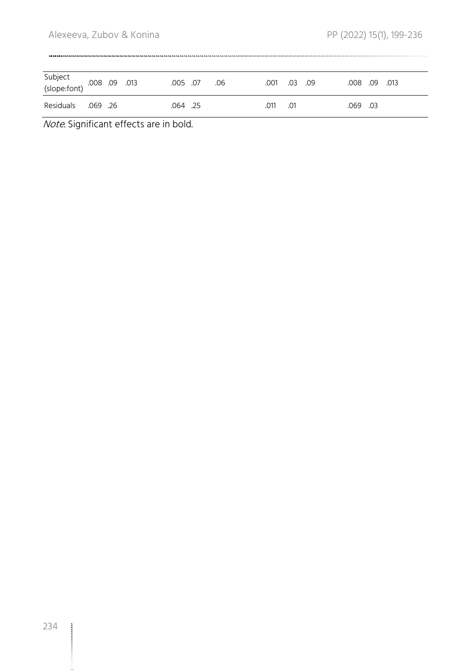| Subject<br>(slope:font) .008 .09 .013 |         |  | .005 .07 | .06 | .001 | .03 | 0.09 | .008 .09 | .013 |
|---------------------------------------|---------|--|----------|-----|------|-----|------|----------|------|
| Residuals                             | .069.26 |  | .064 .25 |     | .011 | .01 |      | .069 .03 |      |

Note. Significant effects are in bold.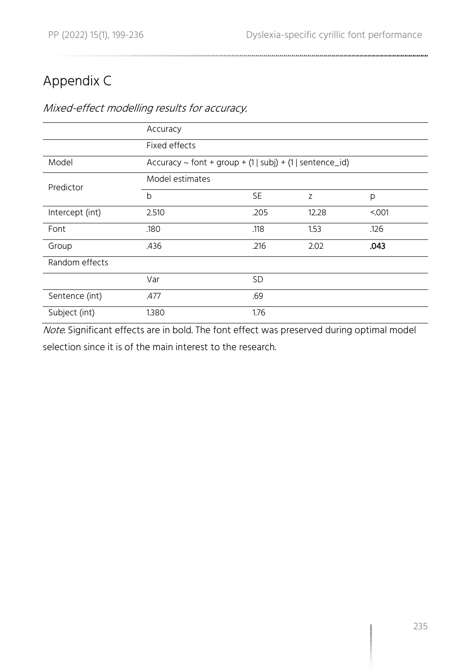## Appendix C

#### Mixed-effect modelling results for accuracy.

|                 | Accuracy        |                                                                    |       |       |  |  |  |  |  |  |  |
|-----------------|-----------------|--------------------------------------------------------------------|-------|-------|--|--|--|--|--|--|--|
|                 | Fixed effects   |                                                                    |       |       |  |  |  |  |  |  |  |
| Model           |                 | Accuracy ~ font + group + $(1 \mid subj)$ + $(1 \mid sentence_id)$ |       |       |  |  |  |  |  |  |  |
| Predictor       | Model estimates |                                                                    |       |       |  |  |  |  |  |  |  |
|                 | b               | <b>SE</b>                                                          | Z     | p     |  |  |  |  |  |  |  |
| Intercept (int) | 2.510           | .205                                                               | 12.28 | < 001 |  |  |  |  |  |  |  |
| Font            | .180            | .118                                                               | 1.53  | .126  |  |  |  |  |  |  |  |
| Group           | .436            | .216                                                               | 2.02  | .043  |  |  |  |  |  |  |  |
| Random effects  |                 |                                                                    |       |       |  |  |  |  |  |  |  |
|                 | Var             | <b>SD</b>                                                          |       |       |  |  |  |  |  |  |  |
| Sentence (int)  | .477            | .69                                                                |       |       |  |  |  |  |  |  |  |
| Subject (int)   | 1.380           | 1.76                                                               |       |       |  |  |  |  |  |  |  |

Note. Significant effects are in bold. The font effect was preserved during optimal model selection since it is of the main interest to the research.